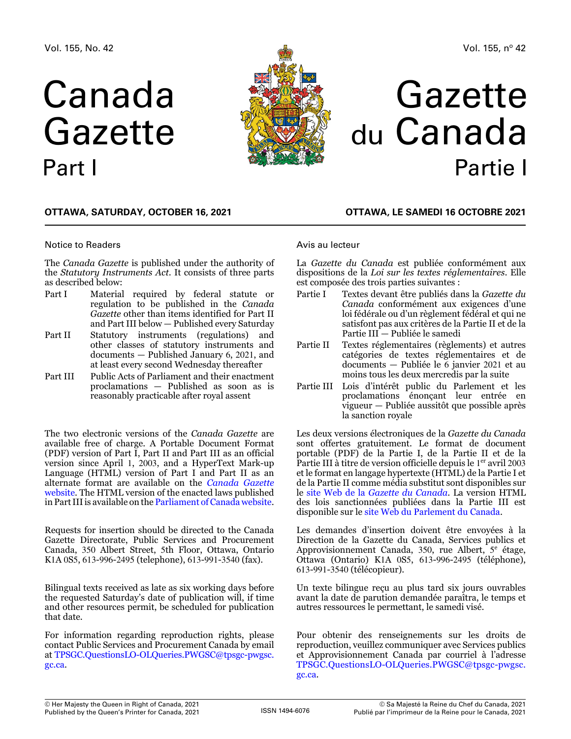# Canada Gazette Part I



# Gazette du Canada Partie I

# **OTTAWA, Saturday, October 16, 2021**

# Notice to Readers

The *Canada Gazette* is published under the authority of the *Statutory Instruments Act*. It consists of three parts as described below:

- Part I Material required by federal statute or regulation to be published in the *Canada Gazette* other than items identified for Part II and Part III below — Published every Saturday
- Part II Statutory instruments (regulations) and other classes of statutory instruments and documents — Published January 6, 2021, and at least every second Wednesday thereafter
- Part III Public Acts of Parliament and their enactment proclamations — Published as soon as is reasonably practicable after royal assent

The two electronic versions of the *Canada Gazette* are available free of charge. A Portable Document Format (PDF) version of Part I, Part II and Part III as an official version since April 1, 2003, and a HyperText Mark-up Language (HTML) version of Part I and Part II as an alternate format are available on the *[Canada Gazette](https://gazette.gc.ca/accueil-home-eng.html)*  [website](https://gazette.gc.ca/accueil-home-eng.html). The HTML version of the enacted laws published in Part III is available on the [Parliament of Canada website](https://www.parl.ca/).

Requests for insertion should be directed to the Canada Gazette Directorate, Public Services and Procurement Canada, 350 Albert Street, 5th Floor, Ottawa, Ontario K1A 0S5, 613-996-2495 (telephone), 613-991-3540 (fax).

Bilingual texts received as late as six working days before the requested Saturday's date of publication will, if time and other resources permit, be scheduled for publication that date.

For information regarding reproduction rights, please contact Public Services and Procurement Canada by email at [TPSGC.QuestionsLO-OLQueries.PWGSC@tpsgc-pwgsc.](mailto:TPSGC.QuestionsLO-OLQueries.PWGSC%40tpsgc-pwgsc.gc.ca?subject=) [gc.ca](mailto:TPSGC.QuestionsLO-OLQueries.PWGSC%40tpsgc-pwgsc.gc.ca?subject=).

# **OTTAWA, LE samedi 16 octobre 2021**

# Avis au lecteur

La *Gazette du Canada* est publiée conformément aux dispositions de la *Loi sur les textes réglementaires*. Elle est composée des trois parties suivantes :

- Partie I Textes devant être publiés dans la *Gazette du Canada* conformément aux exigences d'une loi fédérale ou d'un règlement fédéral et qui ne satisfont pas aux critères de la Partie II et de la Partie III — Publiée le samedi
- Partie II Textes réglementaires (règlements) et autres catégories de textes réglementaires et de documents — Publiée le 6 janvier 2021 et au moins tous les deux mercredis par la suite
- Partie III Lois d'intérêt public du Parlement et les proclamations énonçant leur entrée en vigueur — Publiée aussitôt que possible après la sanction royale

Les deux versions électroniques de la *Gazette du Canada* sont offertes gratuitement. Le format de document portable (PDF) de la Partie I, de la Partie II et de la Partie III à titre de version officielle depuis le 1<sup>er</sup> avril 2003 et le format en langage hypertexte (HTML) de la Partie I et de la Partie II comme média substitut sont disponibles sur le site Web de la *[Gazette du Canada](https://gazette.gc.ca/accueil-home-fra.html)*. La version HTML des lois sanctionnées publiées dans la Partie III est disponible sur le [site Web du Parlement du Canada](https://www.parl.ca/).

Les demandes d'insertion doivent être envoyées à la Direction de la Gazette du Canada, Services publics et Approvisionnement Canada, 350, rue Albert, 5<sup>e</sup> étage, Ottawa (Ontario) K1A 0S5, 613-996-2495 (téléphone), 613-991-3540 (télécopieur).

Un texte bilingue reçu au plus tard six jours ouvrables avant la date de parution demandée paraîtra, le temps et autres ressources le permettant, le samedi visé.

Pour obtenir des renseignements sur les droits de reproduction, veuillez communiquer avec Services publics et Approvisionnement Canada par courriel à l'adresse [TPSGC.QuestionsLO-OLQueries.PWGSC@tpsgc-pwgsc.](mailto:TPSGC.QuestionsLO-OLQueries.PWGSC%40tpsgc-pwgsc.gc.ca?subject=) [gc.ca](mailto:TPSGC.QuestionsLO-OLQueries.PWGSC%40tpsgc-pwgsc.gc.ca?subject=).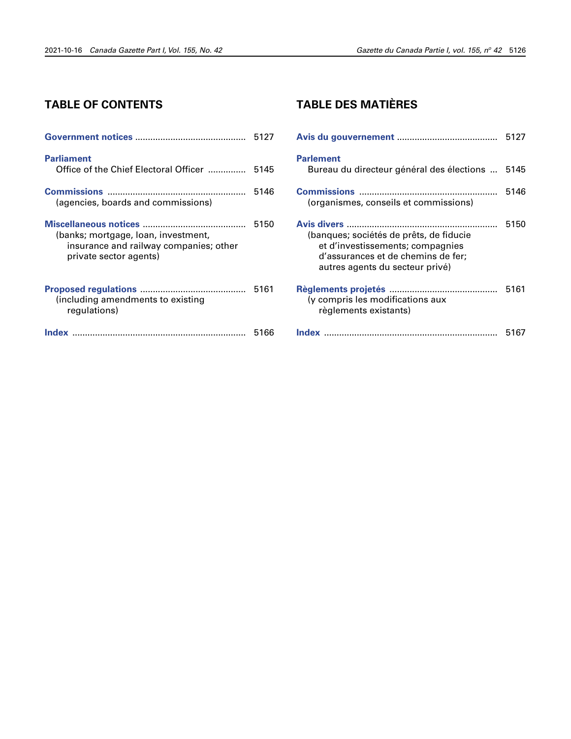# **TABLE OF CONTENTS**

| <b>Parliament</b><br>Office of the Chief Electoral Officer  5145                                        |      |
|---------------------------------------------------------------------------------------------------------|------|
| (agencies, boards and commissions)                                                                      | 5146 |
| (banks; mortgage, loan, investment,<br>insurance and railway companies; other<br>private sector agents) | 5150 |
| (including amendments to existing<br>requlations)                                                       | 5161 |
|                                                                                                         | 5166 |

# **TABLE DES MATIÈRES**

|                                                                                                                                                      | 5127 |
|------------------------------------------------------------------------------------------------------------------------------------------------------|------|
| <b>Parlement</b><br>Bureau du directeur général des élections                                                                                        | 5145 |
| (organismes, conseils et commissions)                                                                                                                | 5146 |
| (banques; sociétés de prêts, de fiducie<br>et d'investissements; compagnies<br>d'assurances et de chemins de fer;<br>autres agents du secteur privé) | 5150 |
| (y compris les modifications aux<br>règlements existants)                                                                                            | 5161 |
|                                                                                                                                                      | 5167 |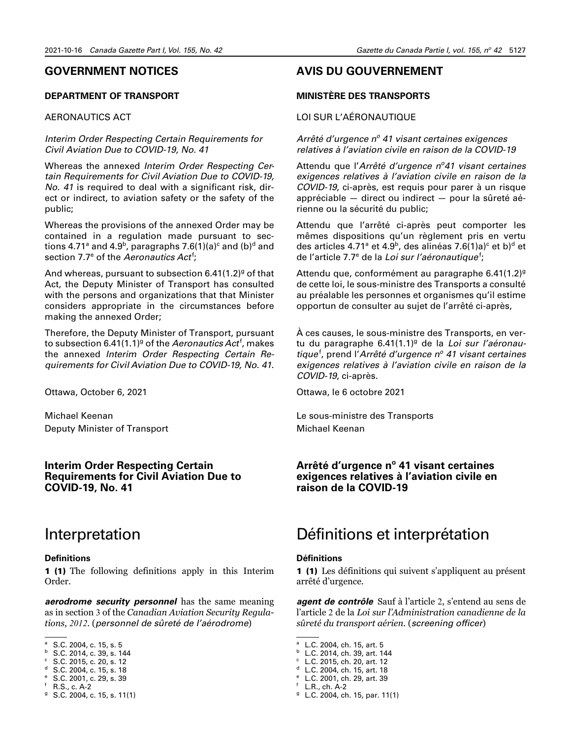# <span id="page-2-0"></span>**GOVERNMENT NOTICES**

# **DEPARTMENT OF TRANSPORT**

# AERONAUTICS ACT

# *Interim Order Respecting Certain Requirements for Civil Aviation Due to COVID-19, No. 41*

Whereas the annexed *Interim Order Respecting Certain Requirements for Civil Aviation Due to COVID-19, No. 41* is required to deal with a significant risk, direct or indirect, to aviation safety or the safety of the public;

Whereas the provisions of the annexed Order may be contained in a regulation made pursuant to sections 4.71ª and 4.9 $^{\rm b}$ , paragraphs 7.6(1)(a) $^{\rm c}$  and (b) $^{\rm d}$  and section 7.7<sup>e</sup> of the *Aeronautics Act<sup>f</sup>;* 

And whereas, pursuant to subsection 6.41(1.2)<sup>g</sup> of that Act, the Deputy Minister of Transport has consulted with the persons and organizations that that Minister considers appropriate in the circumstances before making the annexed Order;

Therefore, the Deputy Minister of Transport, pursuant to subsection 6.41(1.1)<sup>g</sup> of the *Aeronautics Act<sup>f</sup>,* makes the annexed *Interim Order Respecting Certain Requirements for Civil Aviation Due to COVID-19, No. 41*.

Ottawa, October 6, 2021

Michael Keenan Deputy Minister of Transport

# **Interim Order Respecting Certain Requirements for Civil Aviation Due to COVID-19, No. 41**

# Interpretation

#### **Definitions**

1 (1) The following definitions apply in this Interim Order.

*aerodrome security personnel* has the same meaning as in section 3 of the *Canadian Aviation Security Regulations, 2012*. (*personnel de sûreté de l'aérodrome*)

<sup>e</sup> S.C. 2001, c. 29, s. 39

# **AVIS DU GOUVERNEMENT**

# **MINISTÈRE DES TRANSPORTS**

# LOI SUR L'AÉRONAUTIQUE

Arrêté d'urgence nº 41 visant certaines exigences *relatives à l'aviation civile en raison de la COVID-19*

Attendu que l'*Arrêté d'urgence no 41 visant certaines exigences relatives à l'aviation civile en raison de la COVID-19*, ci-après, est requis pour parer à un risque appréciable — direct ou indirect — pour la sûreté aérienne ou la sécurité du public;

Attendu que l'arrêté ci-après peut comporter les mêmes dispositions qu'un règlement pris en vertu des articles 4.71ª et 4.9<sup>b</sup>, des alinéas 7.6(1)a)<sup>c</sup> et b)<sup>d</sup> et de l'article 7.7<sup>e</sup> de la *Loi sur l'aéronautique<sup>f</sup>;* 

Attendu que, conformément au paragraphe 6.41 $(1.2)^{g}$ de cette loi, le sous-ministre des Transports a consulté au préalable les personnes et organismes qu'il estime opportun de consulter au sujet de l'arrêté ci-après,

À ces causes, le sous-ministre des Transports, en vertu du paragraphe 6.41(1.1)<sup>g</sup> de la *Loi sur l'aéronau*tique<sup>f</sup>, prend l'Arrêté d'urgence n<sup>o</sup> 41 visant certaines *exigences relatives à l'aviation civile en raison de la COVID-19*, ci-après.

Ottawa, le 6 octobre 2021

Le sous-ministre des Transports Michael Keenan

# Arrêté d'urgence n<sup>o</sup> 41 visant certaines **exigences relatives à l'aviation civile en raison de la COVID-19**

# Définitions et interprétation

# **Définitions**

1 (1) Les définitions qui suivent s'appliquent au présent arrêté d'urgence.

*agent de contrôle* Sauf à l'article 2, s'entend au sens de l'article 2 de la *Loi sur l'Administration canadienne de la sûreté du transport aérien*. (*screening officer*)

<sup>&</sup>lt;sup>a</sup> S.C. 2004, c. 15, s. 5

 $b$  S.C. 2014, c. 39, s. 144

 $\degree$  S.C. 2015, c. 20, s. 12

<sup>d</sup> S.C. 2004, c. 15, s. 18

<sup>f</sup> R.S., c. A-2

 $9$  S.C. 2004, c. 15, s. 11(1)

<sup>a</sup> L.C. 2004, ch. 15, art. 5

<sup>b</sup> L.C. 2014, ch. 39, art. 144

<sup>c</sup> L.C. 2015, ch. 20, art. 12

<sup>d</sup> L.C. 2004, ch. 15, art. 18

<sup>e</sup> L.C. 2001, ch. 29, art. 39  $f$  L.R., ch. A-2

 $9$  L.C. 2004, ch. 15, par. 11(1)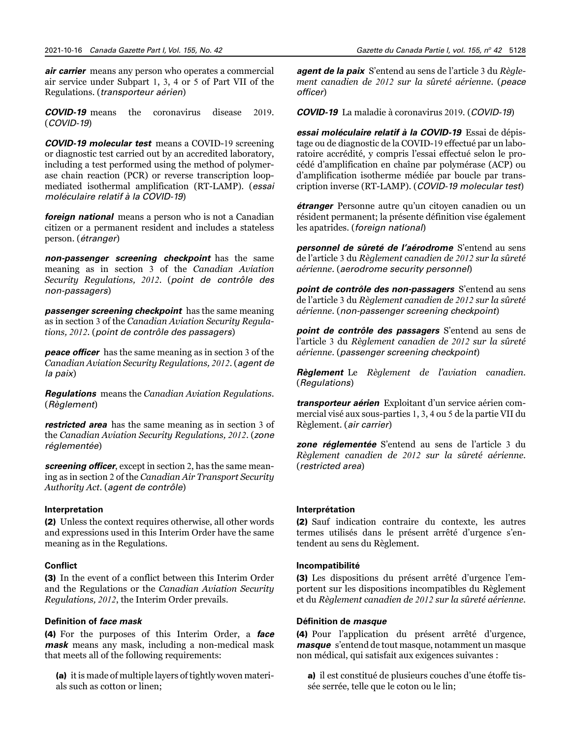*air carrier* means any person who operates a commercial air service under Subpart 1, 3, 4 or 5 of Part VII of the Regulations. (*transporteur aérien*)

*COVID-19* means the coronavirus disease 2019. (*COVID-19*)

*COVID-19 molecular test* means a COVID-19 screening or diagnostic test carried out by an accredited laboratory, including a test performed using the method of polymerase chain reaction (PCR) or reverse transcription loopmediated isothermal amplification (RT-LAMP). (*essai moléculaire relatif à la COVID-19*)

*foreign national* means a person who is not a Canadian citizen or a permanent resident and includes a stateless person. (*étranger*)

*non-passenger screening checkpoint* has the same meaning as in section 3 of the *Canadian Aviation Security Regulations, 2012*. (*point de contrôle des non-passagers*)

*passenger screening checkpoint* has the same meaning as in section 3 of the *Canadian Aviation Security Regulations, 2012*. (*point de contrôle des passagers*)

*peace officer* has the same meaning as in section 3 of the *Canadian Aviation Security Regulations, 2012*. (*agent de la paix*)

*Regulations* means the *Canadian Aviation Regulations*. (*Règlement*)

*restricted area* has the same meaning as in section 3 of the *Canadian Aviation Security Regulations, 2012*. (*zone réglementée*)

*screening officer*, except in section 2, has the same meaning as in section 2 of the *Canadian Air Transport Security Authority Act*. (*agent de contrôle*)

# **Interpretation**

(2) Unless the context requires otherwise, all other words and expressions used in this Interim Order have the same meaning as in the Regulations.

# **Conflict**

(3) In the event of a conflict between this Interim Order and the Regulations or the *Canadian Aviation Security Regulations, 2012*, the Interim Order prevails.

# **Definition of** *face mask*

(4) For the purposes of this Interim Order, a *face mask* means any mask, including a non-medical mask that meets all of the following requirements:

(a) it is made of multiple layers of tightly woven materials such as cotton or linen;

*agent de la paix* S'entend au sens de l'article 3 du *Règlement canadien de 2012 sur la sûreté aérienne*. (*peace officer*)

*COVID-19* La maladie à coronavirus 2019. (*COVID-19*)

*essai moléculaire relatif à la COVID-19* Essai de dépistage ou de diagnostic de la COVID-19 effectué par un laboratoire accrédité, y compris l'essai effectué selon le procédé d'amplification en chaîne par polymérase (ACP) ou d'amplification isotherme médiée par boucle par transcription inverse (RT-LAMP). (*COVID-19 molecular test*)

*étranger* Personne autre qu'un citoyen canadien ou un résident permanent; la présente définition vise également les apatrides. (*foreign national*)

*personnel de sûreté de l'aérodrome* S'entend au sens de l'article 3 du *Règlement canadien de 2012 sur la sûreté aérienne*. (*aerodrome security personnel*)

*point de contrôle des non-passagers* S'entend au sens de l'article 3 du *Règlement canadien de 2012 sur la sûreté aérienne*. (*non-passenger screening checkpoint*)

*point de contrôle des passagers* S'entend au sens de l'article 3 du *Règlement canadien de 2012 sur la sûreté aérienne*. (*passenger screening checkpoint*)

*Règlement* Le *Règlement de l'aviation canadien*. (*Regulations*)

*transporteur aérien* Exploitant d'un service aérien commercial visé aux sous-parties 1, 3, 4 ou 5 de la partie VII du Règlement. (*air carrier*)

*zone réglementée* S'entend au sens de l'article 3 du *Règlement canadien de 2012 sur la sûreté aérienne*. (*restricted area*)

# **Interprétation**

(2) Sauf indication contraire du contexte, les autres termes utilisés dans le présent arrêté d'urgence s'entendent au sens du Règlement.

# **Incompatibilité**

(3) Les dispositions du présent arrêté d'urgence l'emportent sur les dispositions incompatibles du Règlement et du *Règlement canadien de 2012 sur la sûreté aérienne*.

# **Définition de** *masque*

(4) Pour l'application du présent arrêté d'urgence, *masque* s'entend de tout masque, notamment un masque non médical, qui satisfait aux exigences suivantes :

a) il est constitué de plusieurs couches d'une étoffe tissée serrée, telle que le coton ou le lin;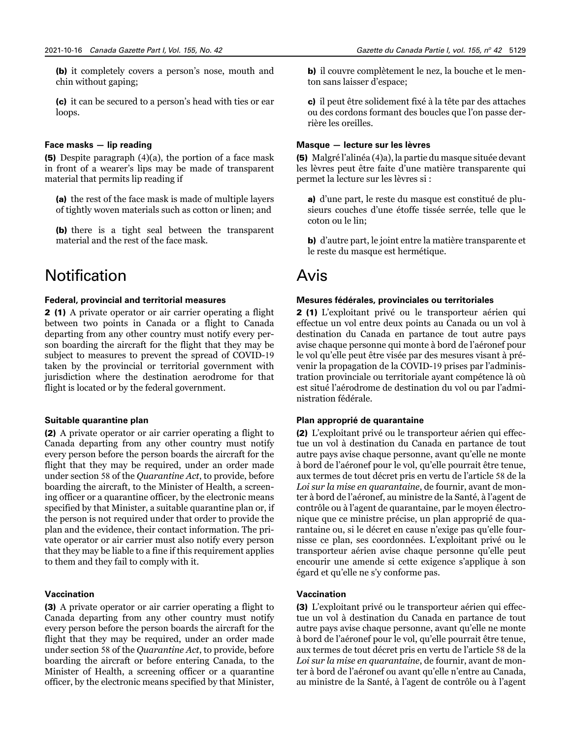(b) it completely covers a person's nose, mouth and chin without gaping;

(c) it can be secured to a person's head with ties or ear loops.

#### **Face masks — lip reading**

(5) Despite paragraph (4)(a), the portion of a face mask in front of a wearer's lips may be made of transparent material that permits lip reading if

(a) the rest of the face mask is made of multiple layers of tightly woven materials such as cotton or linen; and

(b) there is a tight seal between the transparent material and the rest of the face mask.

# **Notification**

#### **Federal, provincial and territorial measures**

2 (1) A private operator or air carrier operating a flight between two points in Canada or a flight to Canada departing from any other country must notify every person boarding the aircraft for the flight that they may be subject to measures to prevent the spread of COVID-19 taken by the provincial or territorial government with jurisdiction where the destination aerodrome for that flight is located or by the federal government.

#### **Suitable quarantine plan**

(2) A private operator or air carrier operating a flight to Canada departing from any other country must notify every person before the person boards the aircraft for the flight that they may be required, under an order made under section 58 of the *Quarantine Act*, to provide, before boarding the aircraft, to the Minister of Health, a screening officer or a quarantine officer, by the electronic means specified by that Minister, a suitable quarantine plan or, if the person is not required under that order to provide the plan and the evidence, their contact information. The private operator or air carrier must also notify every person that they may be liable to a fine if this requirement applies to them and they fail to comply with it.

# **Vaccination**

(3) A private operator or air carrier operating a flight to Canada departing from any other country must notify every person before the person boards the aircraft for the flight that they may be required, under an order made under section 58 of the *Quarantine Act*, to provide, before boarding the aircraft or before entering Canada, to the Minister of Health, a screening officer or a quarantine officer, by the electronic means specified by that Minister, b) il couvre complètement le nez, la bouche et le menton sans laisser d'espace;

c) il peut être solidement fixé à la tête par des attaches ou des cordons formant des boucles que l'on passe derrière les oreilles.

#### **Masque — lecture sur les lèvres**

(5) Malgré l'alinéa (4)a), la partie du masque située devant les lèvres peut être faite d'une matière transparente qui permet la lecture sur les lèvres si :

a) d'une part, le reste du masque est constitué de plusieurs couches d'une étoffe tissée serrée, telle que le coton ou le lin;

b) d'autre part, le joint entre la matière transparente et le reste du masque est hermétique.

# Avis

#### **Mesures fédérales, provinciales ou territoriales**

2 (1) L'exploitant privé ou le transporteur aérien qui effectue un vol entre deux points au Canada ou un vol à destination du Canada en partance de tout autre pays avise chaque personne qui monte à bord de l'aéronef pour le vol qu'elle peut être visée par des mesures visant à prévenir la propagation de la COVID-19 prises par l'administration provinciale ou territoriale ayant compétence là où est situé l'aérodrome de destination du vol ou par l'administration fédérale.

#### **Plan approprié de quarantaine**

(2) L'exploitant privé ou le transporteur aérien qui effectue un vol à destination du Canada en partance de tout autre pays avise chaque personne, avant qu'elle ne monte à bord de l'aéronef pour le vol, qu'elle pourrait être tenue, aux termes de tout décret pris en vertu de l'article 58 de la *Loi sur la mise en quarantaine*, de fournir, avant de monter à bord de l'aéronef, au ministre de la Santé, à l'agent de contrôle ou à l'agent de quarantaine, par le moyen électronique que ce ministre précise, un plan approprié de quarantaine ou, si le décret en cause n'exige pas qu'elle fournisse ce plan, ses coordonnées. L'exploitant privé ou le transporteur aérien avise chaque personne qu'elle peut encourir une amende si cette exigence s'applique à son égard et qu'elle ne s'y conforme pas.

# **Vaccination**

(3) L'exploitant privé ou le transporteur aérien qui effectue un vol à destination du Canada en partance de tout autre pays avise chaque personne, avant qu'elle ne monte à bord de l'aéronef pour le vol, qu'elle pourrait être tenue, aux termes de tout décret pris en vertu de l'article 58 de la *Loi sur la mise en quarantaine*, de fournir, avant de monter à bord de l'aéronef ou avant qu'elle n'entre au Canada, au ministre de la Santé, à l'agent de contrôle ou à l'agent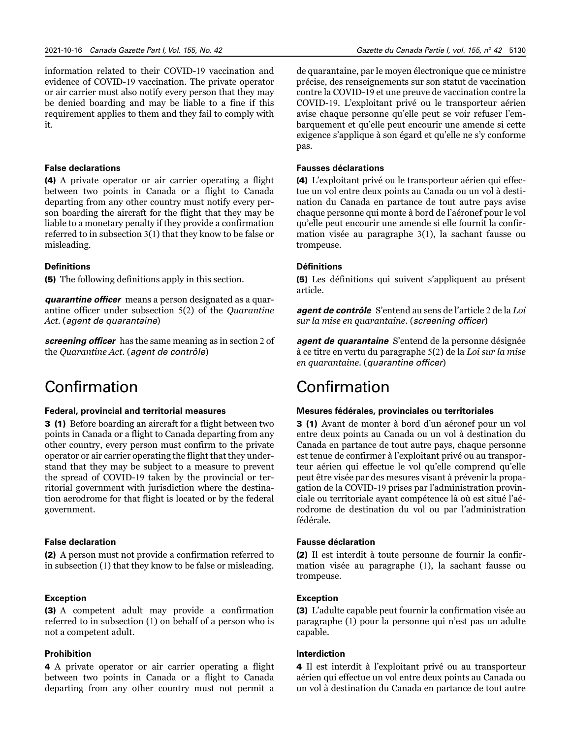information related to their COVID-19 vaccination and evidence of COVID-19 vaccination. The private operator or air carrier must also notify every person that they may be denied boarding and may be liable to a fine if this requirement applies to them and they fail to comply with it.

# **False declarations**

(4) A private operator or air carrier operating a flight between two points in Canada or a flight to Canada departing from any other country must notify every person boarding the aircraft for the flight that they may be liable to a monetary penalty if they provide a confirmation referred to in subsection 3(1) that they know to be false or misleading.

# **Definitions**

(5) The following definitions apply in this section.

*quarantine officer* means a person designated as a quarantine officer under subsection 5(2) of the *Quarantine Act*. (*agent de quarantaine*)

*screening officer* has the same meaning as in section 2 of the *Quarantine Act*. (*agent de contrôle*)

# Confirmation

# **Federal, provincial and territorial measures**

3 (1) Before boarding an aircraft for a flight between two points in Canada or a flight to Canada departing from any other country, every person must confirm to the private operator or air carrier operating the flight that they understand that they may be subject to a measure to prevent the spread of COVID-19 taken by the provincial or territorial government with jurisdiction where the destination aerodrome for that flight is located or by the federal government.

# **False declaration**

(2) A person must not provide a confirmation referred to in subsection (1) that they know to be false or misleading.

#### **Exception**

(3) A competent adult may provide a confirmation referred to in subsection (1) on behalf of a person who is not a competent adult.

# **Prohibition**

4 A private operator or air carrier operating a flight between two points in Canada or a flight to Canada departing from any other country must not permit a de quarantaine, par le moyen électronique que ce ministre précise, des renseignements sur son statut de vaccination contre la COVID-19 et une preuve de vaccination contre la COVID-19. L'exploitant privé ou le transporteur aérien avise chaque personne qu'elle peut se voir refuser l'embarquement et qu'elle peut encourir une amende si cette exigence s'applique à son égard et qu'elle ne s'y conforme pas.

### **Fausses déclarations**

(4) L'exploitant privé ou le transporteur aérien qui effectue un vol entre deux points au Canada ou un vol à destination du Canada en partance de tout autre pays avise chaque personne qui monte à bord de l'aéronef pour le vol qu'elle peut encourir une amende si elle fournit la confirmation visée au paragraphe 3(1), la sachant fausse ou trompeuse.

# **Définitions**

(5) Les définitions qui suivent s'appliquent au présent article.

*agent de contrôle* S'entend au sens de l'article 2 de la *Loi sur la mise en quarantaine*. (*screening officer*)

*agent de quarantaine* S'entend de la personne désignée à ce titre en vertu du paragraphe 5(2) de la *Loi sur la mise en quarantaine*. (*quarantine officer*)

# Confirmation

#### **Mesures fédérales, provinciales ou territoriales**

3 (1) Avant de monter à bord d'un aéronef pour un vol entre deux points au Canada ou un vol à destination du Canada en partance de tout autre pays, chaque personne est tenue de confirmer à l'exploitant privé ou au transporteur aérien qui effectue le vol qu'elle comprend qu'elle peut être visée par des mesures visant à prévenir la propagation de la COVID-19 prises par l'administration provinciale ou territoriale ayant compétence là où est situé l'aérodrome de destination du vol ou par l'administration fédérale.

### **Fausse déclaration**

(2) Il est interdit à toute personne de fournir la confirmation visée au paragraphe (1), la sachant fausse ou trompeuse.

#### **Exception**

(3) L'adulte capable peut fournir la confirmation visée au paragraphe (1) pour la personne qui n'est pas un adulte capable.

#### **Interdiction**

4 Il est interdit à l'exploitant privé ou au transporteur aérien qui effectue un vol entre deux points au Canada ou un vol à destination du Canada en partance de tout autre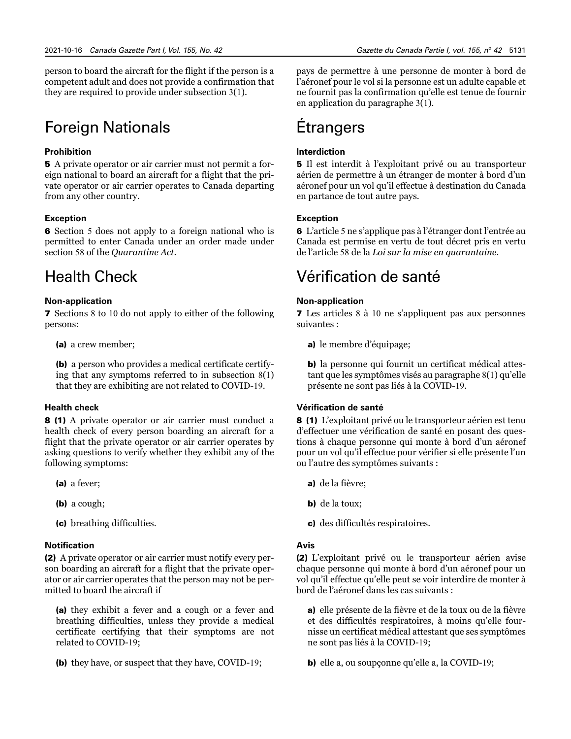person to board the aircraft for the flight if the person is a competent adult and does not provide a confirmation that they are required to provide under subsection 3(1).

# Foreign Nationals

# **Prohibition**

5 A private operator or air carrier must not permit a foreign national to board an aircraft for a flight that the private operator or air carrier operates to Canada departing from any other country.

# **Exception**

6 Section 5 does not apply to a foreign national who is permitted to enter Canada under an order made under section 58 of the *Quarantine Act*.

# Health Check

# **Non-application**

7 Sections 8 to 10 do not apply to either of the following persons:

(a) a crew member;

(b) a person who provides a medical certificate certifying that any symptoms referred to in subsection 8(1) that they are exhibiting are not related to COVID-19.

# **Health check**

8 (1) A private operator or air carrier must conduct a health check of every person boarding an aircraft for a flight that the private operator or air carrier operates by asking questions to verify whether they exhibit any of the following symptoms:

- (a) a fever;
- (b) a cough;
- (c) breathing difficulties.

# **Notification**

(2) A private operator or air carrier must notify every person boarding an aircraft for a flight that the private operator or air carrier operates that the person may not be permitted to board the aircraft if

(a) they exhibit a fever and a cough or a fever and breathing difficulties, unless they provide a medical certificate certifying that their symptoms are not related to COVID-19;

(b) they have, or suspect that they have, COVID-19;

pays de permettre à une personne de monter à bord de l'aéronef pour le vol si la personne est un adulte capable et ne fournit pas la confirmation qu'elle est tenue de fournir en application du paragraphe 3(1).

# Étrangers

# **Interdiction**

5 Il est interdit à l'exploitant privé ou au transporteur aérien de permettre à un étranger de monter à bord d'un aéronef pour un vol qu'il effectue à destination du Canada en partance de tout autre pays.

# **Exception**

6 L'article 5 ne s'applique pas à l'étranger dont l'entrée au Canada est permise en vertu de tout décret pris en vertu de l'article 58 de la *Loi sur la mise en quarantaine*.

# Vérification de santé

# **Non-application**

7 Les articles 8 à 10 ne s'appliquent pas aux personnes suivantes :

a) le membre d'équipage;

b) la personne qui fournit un certificat médical attestant que les symptômes visés au paragraphe 8(1) qu'elle présente ne sont pas liés à la COVID-19.

# **Vérification de santé**

8 (1) L'exploitant privé ou le transporteur aérien est tenu d'effectuer une vérification de santé en posant des questions à chaque personne qui monte à bord d'un aéronef pour un vol qu'il effectue pour vérifier si elle présente l'un ou l'autre des symptômes suivants :

- a) de la fièvre;
- b) de la toux;
- c) des difficultés respiratoires.

# **Avis**

(2) L'exploitant privé ou le transporteur aérien avise chaque personne qui monte à bord d'un aéronef pour un vol qu'il effectue qu'elle peut se voir interdire de monter à bord de l'aéronef dans les cas suivants :

a) elle présente de la fièvre et de la toux ou de la fièvre et des difficultés respiratoires, à moins qu'elle fournisse un certificat médical attestant que ses symptômes ne sont pas liés à la COVID-19;

b) elle a, ou soupçonne qu'elle a, la COVID-19;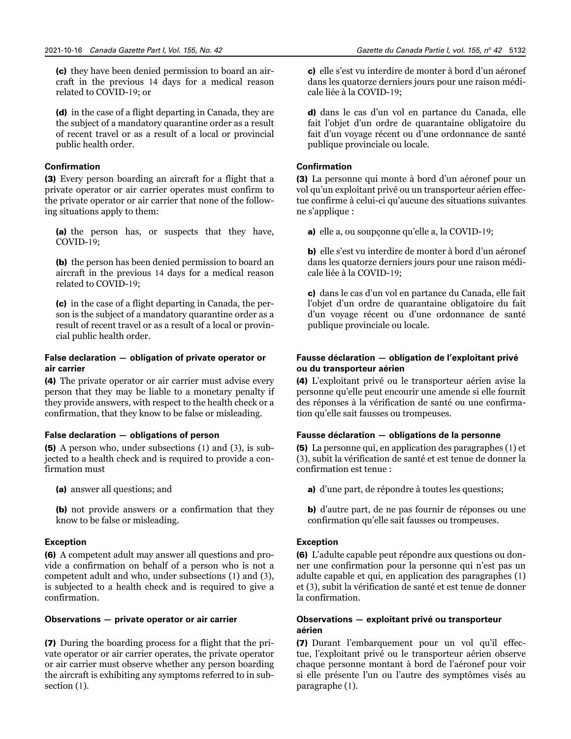(c) they have been denied permission to board an aircraft in the previous 14 days for a medical reason related to COVID-19; or

(d) in the case of a flight departing in Canada, they are the subject of a mandatory quarantine order as a result of recent travel or as a result of a local or provincial public health order.

# **Confirmation**

(3) Every person boarding an aircraft for a flight that a private operator or air carrier operates must confirm to the private operator or air carrier that none of the following situations apply to them:

(a) the person has, or suspects that they have, COVID-19;

(b) the person has been denied permission to board an aircraft in the previous 14 days for a medical reason related to COVID-19;

(c) in the case of a flight departing in Canada, the person is the subject of a mandatory quarantine order as a result of recent travel or as a result of a local or provincial public health order.

# **False declaration — obligation of private operator or air carrier**

(4) The private operator or air carrier must advise every person that they may be liable to a monetary penalty if they provide answers, with respect to the health check or a confirmation, that they know to be false or misleading.

#### **False declaration — obligations of person**

(5) A person who, under subsections (1) and (3), is subjected to a health check and is required to provide a confirmation must

(a) answer all questions; and

(b) not provide answers or a confirmation that they know to be false or misleading.

# **Exception**

(6) A competent adult may answer all questions and provide a confirmation on behalf of a person who is not a competent adult and who, under subsections (1) and (3), is subjected to a health check and is required to give a confirmation.

#### **Observations — private operator or air carrier**

(7) During the boarding process for a flight that the private operator or air carrier operates, the private operator or air carrier must observe whether any person boarding the aircraft is exhibiting any symptoms referred to in subsection  $(1)$ .

c) elle s'est vu interdire de monter à bord d'un aéronef dans les quatorze derniers jours pour une raison médicale liée à la COVID-19;

d) dans le cas d'un vol en partance du Canada, elle fait l'objet d'un ordre de quarantaine obligatoire du fait d'un voyage récent ou d'une ordonnance de santé publique provinciale ou locale.

# **Confirmation**

(3) La personne qui monte à bord d'un aéronef pour un vol qu'un exploitant privé ou un transporteur aérien effectue confirme à celui-ci qu'aucune des situations suivantes ne s'applique :

a) elle a, ou soupçonne qu'elle a, la COVID-19;

b) elle s'est vu interdire de monter à bord d'un aéronef dans les quatorze derniers jours pour une raison médicale liée à la COVID-19;

c) dans le cas d'un vol en partance du Canada, elle fait l'objet d'un ordre de quarantaine obligatoire du fait d'un voyage récent ou d'une ordonnance de santé publique provinciale ou locale.

# **Fausse déclaration — obligation de l'exploitant privé ou du transporteur aérien**

(4) L'exploitant privé ou le transporteur aérien avise la personne qu'elle peut encourir une amende si elle fournit des réponses à la vérification de santé ou une confirmation qu'elle sait fausses ou trompeuses.

# **Fausse déclaration — obligations de la personne**

(5) La personne qui, en application des paragraphes (1) et (3), subit la vérification de santé et est tenue de donner la confirmation est tenue :

a) d'une part, de répondre à toutes les questions;

b) d'autre part, de ne pas fournir de réponses ou une confirmation qu'elle sait fausses ou trompeuses.

# **Exception**

(6) L'adulte capable peut répondre aux questions ou donner une confirmation pour la personne qui n'est pas un adulte capable et qui, en application des paragraphes (1) et (3), subit la vérification de santé et est tenue de donner la confirmation.

# **Observations — exploitant privé ou transporteur aérien**

(7) Durant l'embarquement pour un vol qu'il effectue, l'exploitant privé ou le transporteur aérien observe chaque personne montant à bord de l'aéronef pour voir si elle présente l'un ou l'autre des symptômes visés au paragraphe (1).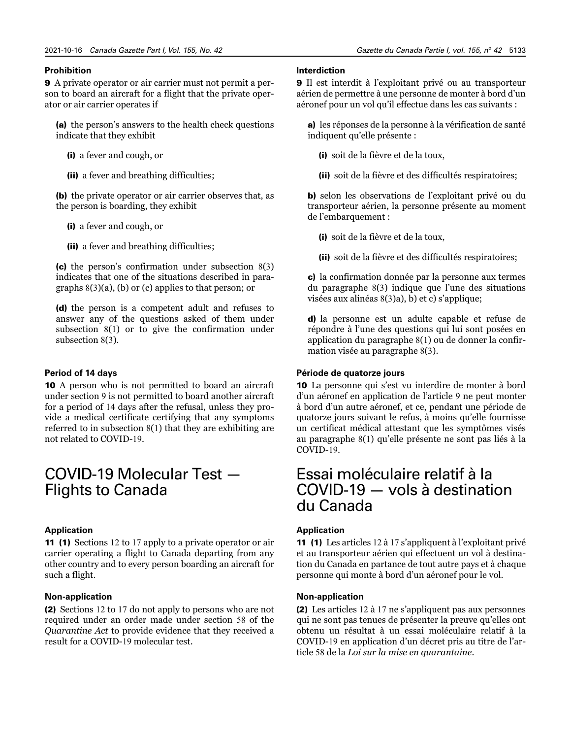#### **Prohibition**

9 A private operator or air carrier must not permit a person to board an aircraft for a flight that the private operator or air carrier operates if

(a) the person's answers to the health check questions indicate that they exhibit

(i) a fever and cough, or

(ii) a fever and breathing difficulties;

(b) the private operator or air carrier observes that, as the person is boarding, they exhibit

(i) a fever and cough, or

(ii) a fever and breathing difficulties;

(c) the person's confirmation under subsection 8(3) indicates that one of the situations described in paragraphs 8(3)(a), (b) or (c) applies to that person; or

(d) the person is a competent adult and refuses to answer any of the questions asked of them under subsection 8(1) or to give the confirmation under subsection 8(3).

#### **Period of 14 days**

10 A person who is not permitted to board an aircraft under section 9 is not permitted to board another aircraft for a period of 14 days after the refusal, unless they provide a medical certificate certifying that any symptoms referred to in subsection 8(1) that they are exhibiting are not related to COVID-19.

# COVID-19 Molecular Test — Flights to Canada

#### **Application**

11 (1) Sections 12 to 17 apply to a private operator or air carrier operating a flight to Canada departing from any other country and to every person boarding an aircraft for such a flight.

#### **Non-application**

(2) Sections 12 to 17 do not apply to persons who are not required under an order made under section 58 of the *Quarantine Act* to provide evidence that they received a result for a COVID-19 molecular test.

#### **Interdiction**

9 Il est interdit à l'exploitant privé ou au transporteur aérien de permettre à une personne de monter à bord d'un aéronef pour un vol qu'il effectue dans les cas suivants :

a) les réponses de la personne à la vérification de santé indiquent qu'elle présente :

(i) soit de la fièvre et de la toux,

(ii) soit de la fièvre et des difficultés respiratoires;

b) selon les observations de l'exploitant privé ou du transporteur aérien, la personne présente au moment de l'embarquement :

(i) soit de la fièvre et de la toux,

(ii) soit de la fièvre et des difficultés respiratoires;

c) la confirmation donnée par la personne aux termes du paragraphe 8(3) indique que l'une des situations visées aux alinéas 8(3)a), b) et c) s'applique;

d) la personne est un adulte capable et refuse de répondre à l'une des questions qui lui sont posées en application du paragraphe 8(1) ou de donner la confirmation visée au paragraphe 8(3).

# **Période de quatorze jours**

10 La personne qui s'est vu interdire de monter à bord d'un aéronef en application de l'article 9 ne peut monter à bord d'un autre aéronef, et ce, pendant une période de quatorze jours suivant le refus, à moins qu'elle fournisse un certificat médical attestant que les symptômes visés au paragraphe 8(1) qu'elle présente ne sont pas liés à la COVID-19.

# Essai moléculaire relatif à la COVID-19 — vols à destination du Canada

#### **Application**

11 (1) Les articles 12 à 17 s'appliquent à l'exploitant privé et au transporteur aérien qui effectuent un vol à destination du Canada en partance de tout autre pays et à chaque personne qui monte à bord d'un aéronef pour le vol.

#### **Non-application**

(2) Les articles 12 à 17 ne s'appliquent pas aux personnes qui ne sont pas tenues de présenter la preuve qu'elles ont obtenu un résultat à un essai moléculaire relatif à la COVID-19 en application d'un décret pris au titre de l'article 58 de la *Loi sur la mise en quarantaine*.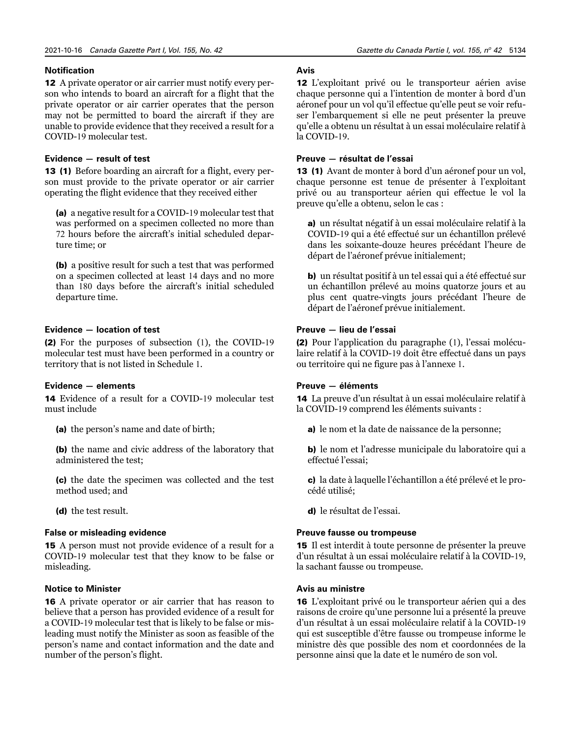### **Notification**

12 A private operator or air carrier must notify every person who intends to board an aircraft for a flight that the private operator or air carrier operates that the person may not be permitted to board the aircraft if they are unable to provide evidence that they received a result for a COVID-19 molecular test.

# **Evidence — result of test**

13 (1) Before boarding an aircraft for a flight, every person must provide to the private operator or air carrier operating the flight evidence that they received either

(a) a negative result for a COVID-19 molecular test that was performed on a specimen collected no more than 72 hours before the aircraft's initial scheduled departure time; or

(b) a positive result for such a test that was performed on a specimen collected at least 14 days and no more than 180 days before the aircraft's initial scheduled departure time.

#### **Evidence — location of test**

(2) For the purposes of subsection (1), the COVID-19 molecular test must have been performed in a country or territory that is not listed in Schedule 1.

#### **Evidence — elements**

14 Evidence of a result for a COVID-19 molecular test must include

(a) the person's name and date of birth;

(b) the name and civic address of the laboratory that administered the test;

(c) the date the specimen was collected and the test method used; and

(d) the test result.

### **False or misleading evidence**

15 A person must not provide evidence of a result for a COVID-19 molecular test that they know to be false or misleading.

#### **Notice to Minister**

16 A private operator or air carrier that has reason to believe that a person has provided evidence of a result for a COVID-19 molecular test that is likely to be false or misleading must notify the Minister as soon as feasible of the person's name and contact information and the date and number of the person's flight.

# **Avis**

12 L'exploitant privé ou le transporteur aérien avise chaque personne qui a l'intention de monter à bord d'un aéronef pour un vol qu'il effectue qu'elle peut se voir refuser l'embarquement si elle ne peut présenter la preuve qu'elle a obtenu un résultat à un essai moléculaire relatif à la COVID-19.

# **Preuve — résultat de l'essai**

13 (1) Avant de monter à bord d'un aéronef pour un vol, chaque personne est tenue de présenter à l'exploitant privé ou au transporteur aérien qui effectue le vol la preuve qu'elle a obtenu, selon le cas :

a) un résultat négatif à un essai moléculaire relatif à la COVID-19 qui a été effectué sur un échantillon prélevé dans les soixante-douze heures précédant l'heure de départ de l'aéronef prévue initialement;

b) un résultat positif à un tel essai qui a été effectué sur un échantillon prélevé au moins quatorze jours et au plus cent quatre-vingts jours précédant l'heure de départ de l'aéronef prévue initialement.

#### **Preuve — lieu de l'essai**

(2) Pour l'application du paragraphe (1), l'essai moléculaire relatif à la COVID-19 doit être effectué dans un pays ou territoire qui ne figure pas à l'annexe 1.

# **Preuve — éléments**

14 La preuve d'un résultat à un essai moléculaire relatif à la COVID-19 comprend les éléments suivants :

a) le nom et la date de naissance de la personne;

b) le nom et l'adresse municipale du laboratoire qui a effectué l'essai;

c) la date à laquelle l'échantillon a été prélevé et le procédé utilisé;

d) le résultat de l'essai.

# **Preuve fausse ou trompeuse**

15 Il est interdit à toute personne de présenter la preuve d'un résultat à un essai moléculaire relatif à la COVID-19, la sachant fausse ou trompeuse.

### **Avis au ministre**

16 L'exploitant privé ou le transporteur aérien qui a des raisons de croire qu'une personne lui a présenté la preuve d'un résultat à un essai moléculaire relatif à la COVID-19 qui est susceptible d'être fausse ou trompeuse informe le ministre dès que possible des nom et coordonnées de la personne ainsi que la date et le numéro de son vol.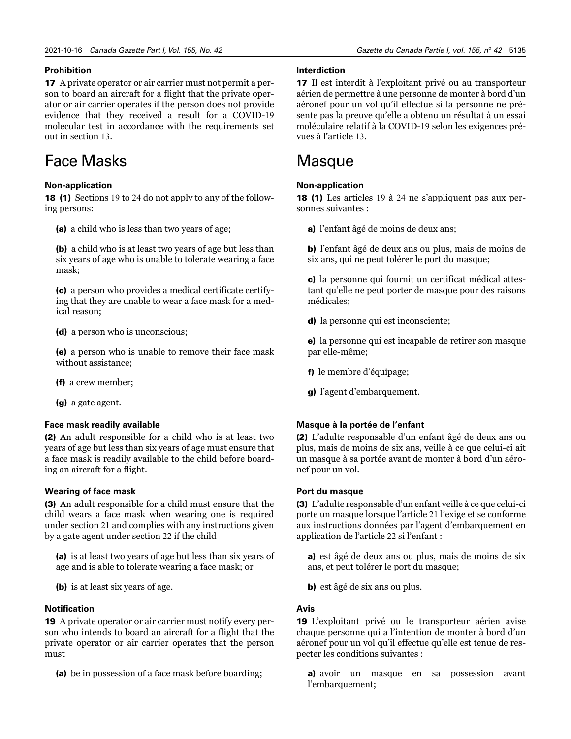# **Prohibition**

17 A private operator or air carrier must not permit a person to board an aircraft for a flight that the private operator or air carrier operates if the person does not provide evidence that they received a result for a COVID-19 molecular test in accordance with the requirements set out in section 13.

# Face Masks

# **Non-application**

18 (1) Sections 19 to 24 do not apply to any of the following persons:

(a) a child who is less than two years of age;

(b) a child who is at least two years of age but less than six years of age who is unable to tolerate wearing a face mask;

(c) a person who provides a medical certificate certifying that they are unable to wear a face mask for a medical reason;

(d) a person who is unconscious;

(e) a person who is unable to remove their face mask without assistance;

(f) a crew member;

(g) a gate agent.

# **Face mask readily available**

(2) An adult responsible for a child who is at least two years of age but less than six years of age must ensure that a face mask is readily available to the child before boarding an aircraft for a flight.

# **Wearing of face mask**

(3) An adult responsible for a child must ensure that the child wears a face mask when wearing one is required under section 21 and complies with any instructions given by a gate agent under section 22 if the child

(a) is at least two years of age but less than six years of age and is able to tolerate wearing a face mask; or

(b) is at least six years of age.

# **Notification**

19 A private operator or air carrier must notify every person who intends to board an aircraft for a flight that the private operator or air carrier operates that the person must

(a) be in possession of a face mask before boarding;

# **Interdiction**

17 Il est interdit à l'exploitant privé ou au transporteur aérien de permettre à une personne de monter à bord d'un aéronef pour un vol qu'il effectue si la personne ne présente pas la preuve qu'elle a obtenu un résultat à un essai moléculaire relatif à la COVID-19 selon les exigences prévues à l'article 13.

# **Masque**

# **Non-application**

18 (1) Les articles 19 à 24 ne s'appliquent pas aux personnes suivantes :

a) l'enfant âgé de moins de deux ans;

b) l'enfant âgé de deux ans ou plus, mais de moins de six ans, qui ne peut tolérer le port du masque;

c) la personne qui fournit un certificat médical attestant qu'elle ne peut porter de masque pour des raisons médicales;

d) la personne qui est inconsciente;

e) la personne qui est incapable de retirer son masque par elle-même;

f) le membre d'équipage;

g) l'agent d'embarquement.

# **Masque à la portée de l'enfant**

(2) L'adulte responsable d'un enfant âgé de deux ans ou plus, mais de moins de six ans, veille à ce que celui-ci ait un masque à sa portée avant de monter à bord d'un aéronef pour un vol.

# **Port du masque**

(3) L'adulte responsable d'un enfant veille à ce que celui-ci porte un masque lorsque l'article 21 l'exige et se conforme aux instructions données par l'agent d'embarquement en application de l'article 22 si l'enfant :

a) est âgé de deux ans ou plus, mais de moins de six ans, et peut tolérer le port du masque;

b) est âgé de six ans ou plus.

# **Avis**

19 L'exploitant privé ou le transporteur aérien avise chaque personne qui a l'intention de monter à bord d'un aéronef pour un vol qu'il effectue qu'elle est tenue de respecter les conditions suivantes :

a) avoir un masque en sa possession avant l'embarquement;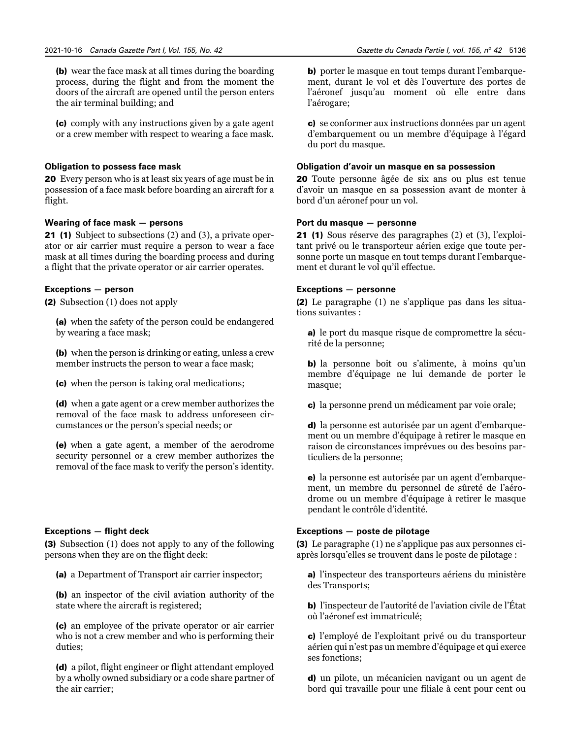(b) wear the face mask at all times during the boarding process, during the flight and from the moment the doors of the aircraft are opened until the person enters the air terminal building; and

(c) comply with any instructions given by a gate agent or a crew member with respect to wearing a face mask.

#### **Obligation to possess face mask**

20 Every person who is at least six years of age must be in possession of a face mask before boarding an aircraft for a flight.

# **Wearing of face mask — persons**

21 (1) Subject to subsections (2) and (3), a private operator or air carrier must require a person to wear a face mask at all times during the boarding process and during a flight that the private operator or air carrier operates.

### **Exceptions — person**

(2) Subsection (1) does not apply

(a) when the safety of the person could be endangered by wearing a face mask;

(b) when the person is drinking or eating, unless a crew member instructs the person to wear a face mask;

(c) when the person is taking oral medications;

(d) when a gate agent or a crew member authorizes the removal of the face mask to address unforeseen circumstances or the person's special needs; or

(e) when a gate agent, a member of the aerodrome security personnel or a crew member authorizes the removal of the face mask to verify the person's identity.

#### **Exceptions — flight deck**

(3) Subsection (1) does not apply to any of the following persons when they are on the flight deck:

(a) a Department of Transport air carrier inspector;

(b) an inspector of the civil aviation authority of the state where the aircraft is registered;

(c) an employee of the private operator or air carrier who is not a crew member and who is performing their duties;

(d) a pilot, flight engineer or flight attendant employed by a wholly owned subsidiary or a code share partner of the air carrier;

b) porter le masque en tout temps durant l'embarquement, durant le vol et dès l'ouverture des portes de l'aéronef jusqu'au moment où elle entre dans l'aérogare;

c) se conformer aux instructions données par un agent d'embarquement ou un membre d'équipage à l'égard du port du masque.

#### **Obligation d'avoir un masque en sa possession**

20 Toute personne âgée de six ans ou plus est tenue d'avoir un masque en sa possession avant de monter à bord d'un aéronef pour un vol.

# **Port du masque — personne**

21 (1) Sous réserve des paragraphes (2) et (3), l'exploitant privé ou le transporteur aérien exige que toute personne porte un masque en tout temps durant l'embarquement et durant le vol qu'il effectue.

#### **Exceptions — personne**

(2) Le paragraphe (1) ne s'applique pas dans les situations suivantes :

a) le port du masque risque de compromettre la sécurité de la personne;

b) la personne boit ou s'alimente, à moins qu'un membre d'équipage ne lui demande de porter le masque;

c) la personne prend un médicament par voie orale;

d) la personne est autorisée par un agent d'embarquement ou un membre d'équipage à retirer le masque en raison de circonstances imprévues ou des besoins particuliers de la personne;

e) la personne est autorisée par un agent d'embarquement, un membre du personnel de sûreté de l'aérodrome ou un membre d'équipage à retirer le masque pendant le contrôle d'identité.

#### **Exceptions — poste de pilotage**

(3) Le paragraphe (1) ne s'applique pas aux personnes ciaprès lorsqu'elles se trouvent dans le poste de pilotage :

a) l'inspecteur des transporteurs aériens du ministère des Transports;

b) l'inspecteur de l'autorité de l'aviation civile de l'État où l'aéronef est immatriculé;

c) l'employé de l'exploitant privé ou du transporteur aérien qui n'est pas un membre d'équipage et qui exerce ses fonctions;

d) un pilote, un mécanicien navigant ou un agent de bord qui travaille pour une filiale à cent pour cent ou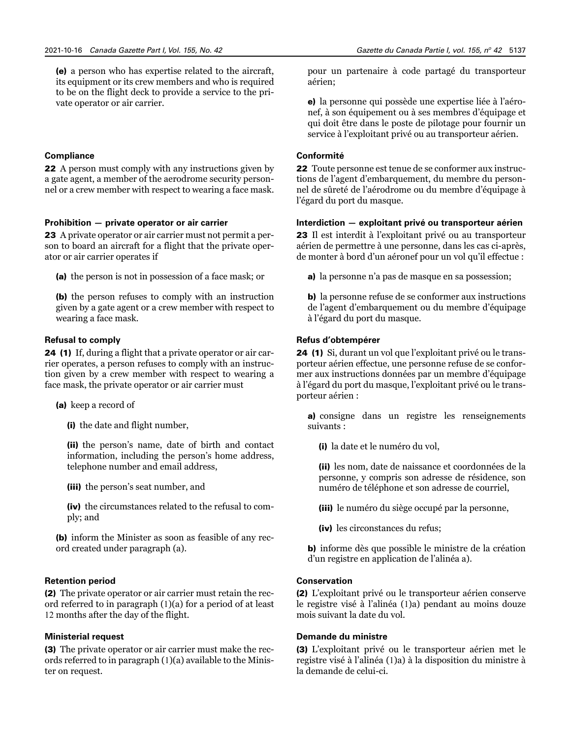(e) a person who has expertise related to the aircraft, its equipment or its crew members and who is required to be on the flight deck to provide a service to the private operator or air carrier.

### **Compliance**

22 A person must comply with any instructions given by a gate agent, a member of the aerodrome security personnel or a crew member with respect to wearing a face mask.

#### **Prohibition — private operator or air carrier**

23 A private operator or air carrier must not permit a person to board an aircraft for a flight that the private operator or air carrier operates if

(a) the person is not in possession of a face mask; or

(b) the person refuses to comply with an instruction given by a gate agent or a crew member with respect to wearing a face mask.

# **Refusal to comply**

24 (1) If, during a flight that a private operator or air carrier operates, a person refuses to comply with an instruction given by a crew member with respect to wearing a face mask, the private operator or air carrier must

(a) keep a record of

(i) the date and flight number,

(ii) the person's name, date of birth and contact information, including the person's home address, telephone number and email address,

(iii) the person's seat number, and

(iv) the circumstances related to the refusal to comply; and

(b) inform the Minister as soon as feasible of any record created under paragraph (a).

# **Retention period**

(2) The private operator or air carrier must retain the record referred to in paragraph (1)(a) for a period of at least 12 months after the day of the flight.

# **Ministerial request**

(3) The private operator or air carrier must make the records referred to in paragraph (1)(a) available to the Minister on request.

pour un partenaire à code partagé du transporteur aérien;

e) la personne qui possède une expertise liée à l'aéronef, à son équipement ou à ses membres d'équipage et qui doit être dans le poste de pilotage pour fournir un service à l'exploitant privé ou au transporteur aérien.

# **Conformité**

22 Toute personne est tenue de se conformer aux instructions de l'agent d'embarquement, du membre du personnel de sûreté de l'aérodrome ou du membre d'équipage à l'égard du port du masque.

#### **Interdiction — exploitant privé ou transporteur aérien**

23 Il est interdit à l'exploitant privé ou au transporteur aérien de permettre à une personne, dans les cas ci-après, de monter à bord d'un aéronef pour un vol qu'il effectue :

a) la personne n'a pas de masque en sa possession;

b) la personne refuse de se conformer aux instructions de l'agent d'embarquement ou du membre d'équipage à l'égard du port du masque.

#### **Refus d'obtempérer**

24 (1) Si, durant un vol que l'exploitant privé ou le transporteur aérien effectue, une personne refuse de se conformer aux instructions données par un membre d'équipage à l'égard du port du masque, l'exploitant privé ou le transporteur aérien :

a) consigne dans un registre les renseignements suivants :

(i) la date et le numéro du vol,

(ii) les nom, date de naissance et coordonnées de la personne, y compris son adresse de résidence, son numéro de téléphone et son adresse de courriel,

(iii) le numéro du siège occupé par la personne,

(iv) les circonstances du refus;

b) informe dès que possible le ministre de la création d'un registre en application de l'alinéa a).

#### **Conservation**

(2) L'exploitant privé ou le transporteur aérien conserve le registre visé à l'alinéa (1)a) pendant au moins douze mois suivant la date du vol.

# **Demande du ministre**

(3) L'exploitant privé ou le transporteur aérien met le registre visé à l'alinéa (1)a) à la disposition du ministre à la demande de celui-ci.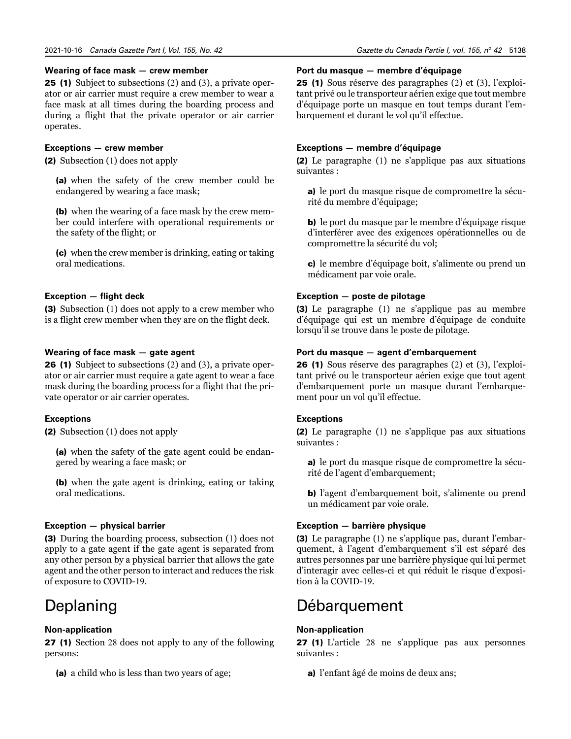#### **Wearing of face mask — crew member**

25 (1) Subject to subsections (2) and (3), a private operator or air carrier must require a crew member to wear a face mask at all times during the boarding process and during a flight that the private operator or air carrier operates.

# **Exceptions — crew member**

(2) Subsection (1) does not apply

(a) when the safety of the crew member could be endangered by wearing a face mask;

(b) when the wearing of a face mask by the crew member could interfere with operational requirements or the safety of the flight; or

(c) when the crew member is drinking, eating or taking oral medications.

# **Exception — flight deck**

(3) Subsection (1) does not apply to a crew member who is a flight crew member when they are on the flight deck.

# **Wearing of face mask — gate agent**

26 (1) Subject to subsections (2) and (3), a private operator or air carrier must require a gate agent to wear a face mask during the boarding process for a flight that the private operator or air carrier operates.

# **Exceptions**

(2) Subsection (1) does not apply

(a) when the safety of the gate agent could be endangered by wearing a face mask; or

(b) when the gate agent is drinking, eating or taking oral medications.

# **Exception — physical barrier**

(3) During the boarding process, subsection (1) does not apply to a gate agent if the gate agent is separated from any other person by a physical barrier that allows the gate agent and the other person to interact and reduces the risk of exposure to COVID-19.

# Deplaning

# **Non-application**

27 (1) Section 28 does not apply to any of the following persons:

(a) a child who is less than two years of age;

#### **Port du masque — membre d'équipage**

25 (1) Sous réserve des paragraphes (2) et (3), l'exploitant privé ou le transporteur aérien exige que tout membre d'équipage porte un masque en tout temps durant l'embarquement et durant le vol qu'il effectue.

# **Exceptions — membre d'équipage**

(2) Le paragraphe (1) ne s'applique pas aux situations suivantes :

a) le port du masque risque de compromettre la sécurité du membre d'équipage;

b) le port du masque par le membre d'équipage risque d'interférer avec des exigences opérationnelles ou de compromettre la sécurité du vol;

c) le membre d'équipage boit, s'alimente ou prend un médicament par voie orale.

# **Exception — poste de pilotage**

(3) Le paragraphe (1) ne s'applique pas au membre d'équipage qui est un membre d'équipage de conduite lorsqu'il se trouve dans le poste de pilotage.

### **Port du masque — agent d'embarquement**

26 (1) Sous réserve des paragraphes (2) et (3), l'exploitant privé ou le transporteur aérien exige que tout agent d'embarquement porte un masque durant l'embarquement pour un vol qu'il effectue.

# **Exceptions**

(2) Le paragraphe (1) ne s'applique pas aux situations suivantes :

a) le port du masque risque de compromettre la sécurité de l'agent d'embarquement;

b) l'agent d'embarquement boit, s'alimente ou prend un médicament par voie orale.

# **Exception — barrière physique**

(3) Le paragraphe (1) ne s'applique pas, durant l'embarquement, à l'agent d'embarquement s'il est séparé des autres personnes par une barrière physique qui lui permet d'interagir avec celles-ci et qui réduit le risque d'exposition à la COVID-19.

# Débarquement

#### **Non-application**

27 (1) L'article 28 ne s'applique pas aux personnes suivantes :

a) l'enfant âgé de moins de deux ans;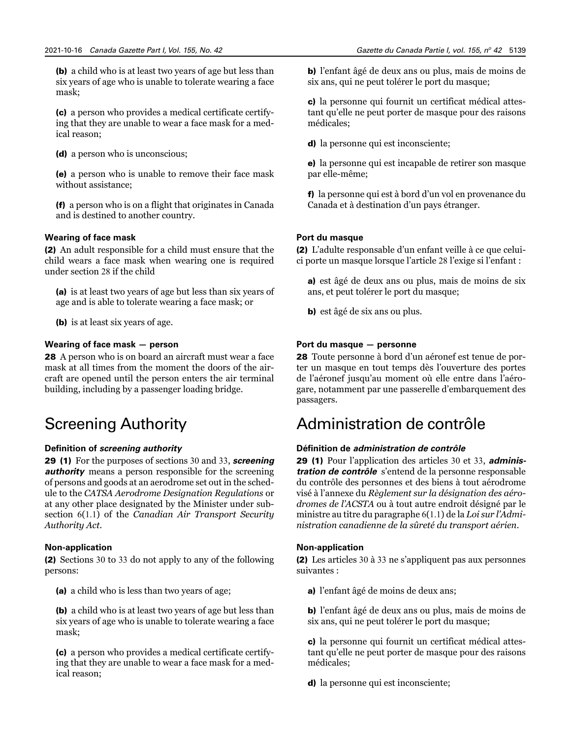(b) a child who is at least two years of age but less than six years of age who is unable to tolerate wearing a face mask;

(c) a person who provides a medical certificate certifying that they are unable to wear a face mask for a medical reason;

(d) a person who is unconscious;

(e) a person who is unable to remove their face mask without assistance;

(f) a person who is on a flight that originates in Canada and is destined to another country.

# **Wearing of face mask**

(2) An adult responsible for a child must ensure that the child wears a face mask when wearing one is required under section 28 if the child

(a) is at least two years of age but less than six years of age and is able to tolerate wearing a face mask; or

(b) is at least six years of age.

# **Wearing of face mask — person**

28 A person who is on board an aircraft must wear a face mask at all times from the moment the doors of the aircraft are opened until the person enters the air terminal building, including by a passenger loading bridge.

# Screening Authority

# **Definition of** *screening authority*

29 (1) For the purposes of sections 30 and 33, *screening authority* means a person responsible for the screening of persons and goods at an aerodrome set out in the schedule to the *CATSA Aerodrome Designation Regulations* or at any other place designated by the Minister under subsection 6(1.1) of the *Canadian Air Transport Security Authority Act*.

# **Non-application**

(2) Sections 30 to 33 do not apply to any of the following persons:

(a) a child who is less than two years of age;

(b) a child who is at least two years of age but less than six years of age who is unable to tolerate wearing a face mask;

(c) a person who provides a medical certificate certifying that they are unable to wear a face mask for a medical reason;

Gazette du Canada Partie I, vol. 155, nº 42 5139

b) l'enfant âgé de deux ans ou plus, mais de moins de six ans, qui ne peut tolérer le port du masque;

c) la personne qui fournit un certificat médical attestant qu'elle ne peut porter de masque pour des raisons médicales;

d) la personne qui est inconsciente;

e) la personne qui est incapable de retirer son masque par elle-même;

f) la personne qui est à bord d'un vol en provenance du Canada et à destination d'un pays étranger.

# **Port du masque**

(2) L'adulte responsable d'un enfant veille à ce que celuici porte un masque lorsque l'article 28 l'exige si l'enfant :

a) est âgé de deux ans ou plus, mais de moins de six ans, et peut tolérer le port du masque;

b) est âgé de six ans ou plus.

# **Port du masque — personne**

28 Toute personne à bord d'un aéronef est tenue de porter un masque en tout temps dès l'ouverture des portes de l'aéronef jusqu'au moment où elle entre dans l'aérogare, notamment par une passerelle d'embarquement des passagers.

# Administration de contrôle

# **Définition de** *administration de contrôle*

29 (1) Pour l'application des articles 30 et 33, *administration de contrôle* s'entend de la personne responsable du contrôle des personnes et des biens à tout aérodrome visé à l'annexe du *Règlement sur la désignation des aérodromes de l'ACSTA* ou à tout autre endroit désigné par le ministre au titre du paragraphe 6(1.1) de la *Loi sur l'Administration canadienne de la sûreté du transport aérien*.

# **Non-application**

(2) Les articles 30 à 33 ne s'appliquent pas aux personnes suivantes :

a) l'enfant âgé de moins de deux ans;

b) l'enfant âgé de deux ans ou plus, mais de moins de six ans, qui ne peut tolérer le port du masque;

c) la personne qui fournit un certificat médical attestant qu'elle ne peut porter de masque pour des raisons médicales;

d) la personne qui est inconsciente;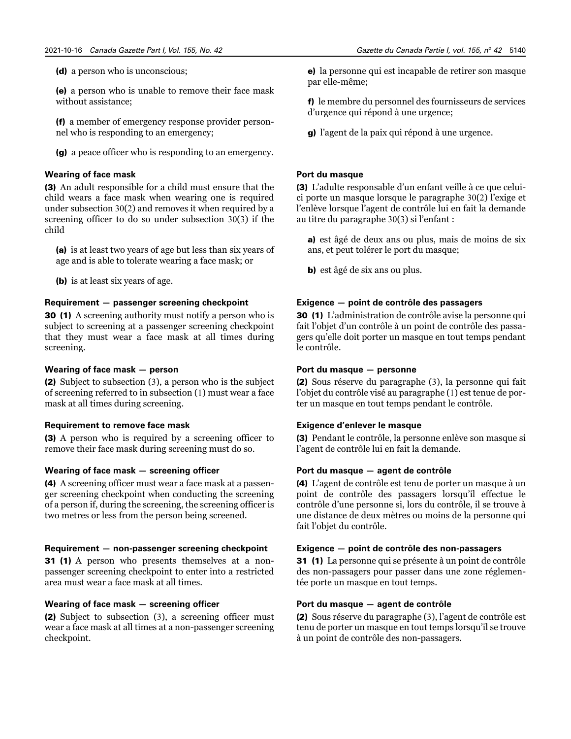(d) a person who is unconscious;

(e) a person who is unable to remove their face mask without assistance;

(f) a member of emergency response provider personnel who is responding to an emergency;

(g) a peace officer who is responding to an emergency.

# **Wearing of face mask**

(3) An adult responsible for a child must ensure that the child wears a face mask when wearing one is required under subsection 30(2) and removes it when required by a screening officer to do so under subsection 30(3) if the child

(a) is at least two years of age but less than six years of age and is able to tolerate wearing a face mask; or

(b) is at least six years of age.

# **Requirement — passenger screening checkpoint**

30 (1) A screening authority must notify a person who is subject to screening at a passenger screening checkpoint that they must wear a face mask at all times during screening.

# **Wearing of face mask — person**

(2) Subject to subsection (3), a person who is the subject of screening referred to in subsection (1) must wear a face mask at all times during screening.

# **Requirement to remove face mask**

(3) A person who is required by a screening officer to remove their face mask during screening must do so.

# **Wearing of face mask — screening officer**

(4) A screening officer must wear a face mask at a passenger screening checkpoint when conducting the screening of a person if, during the screening, the screening officer is two metres or less from the person being screened.

# **Requirement — non-passenger screening checkpoint**

31 (1) A person who presents themselves at a nonpassenger screening checkpoint to enter into a restricted area must wear a face mask at all times.

# **Wearing of face mask — screening officer**

(2) Subject to subsection (3), a screening officer must wear a face mask at all times at a non-passenger screening checkpoint.

e) la personne qui est incapable de retirer son masque par elle-même;

f) le membre du personnel des fournisseurs de services d'urgence qui répond à une urgence;

g) l'agent de la paix qui répond à une urgence.

# **Port du masque**

(3) L'adulte responsable d'un enfant veille à ce que celuici porte un masque lorsque le paragraphe 30(2) l'exige et l'enlève lorsque l'agent de contrôle lui en fait la demande au titre du paragraphe 30(3) si l'enfant :

a) est âgé de deux ans ou plus, mais de moins de six ans, et peut tolérer le port du masque;

b) est âgé de six ans ou plus.

# **Exigence — point de contrôle des passagers**

30 (1) L'administration de contrôle avise la personne qui fait l'objet d'un contrôle à un point de contrôle des passagers qu'elle doit porter un masque en tout temps pendant le contrôle.

# **Port du masque — personne**

(2) Sous réserve du paragraphe (3), la personne qui fait l'objet du contrôle visé au paragraphe (1) est tenue de porter un masque en tout temps pendant le contrôle.

# **Exigence d'enlever le masque**

(3) Pendant le contrôle, la personne enlève son masque si l'agent de contrôle lui en fait la demande.

# **Port du masque — agent de contrôle**

(4) L'agent de contrôle est tenu de porter un masque à un point de contrôle des passagers lorsqu'il effectue le contrôle d'une personne si, lors du contrôle, il se trouve à une distance de deux mètres ou moins de la personne qui fait l'objet du contrôle.

# **Exigence — point de contrôle des non-passagers**

31 (1) La personne qui se présente à un point de contrôle des non-passagers pour passer dans une zone réglementée porte un masque en tout temps.

# **Port du masque — agent de contrôle**

(2) Sous réserve du paragraphe (3), l'agent de contrôle est tenu de porter un masque en tout temps lorsqu'il se trouve à un point de contrôle des non-passagers.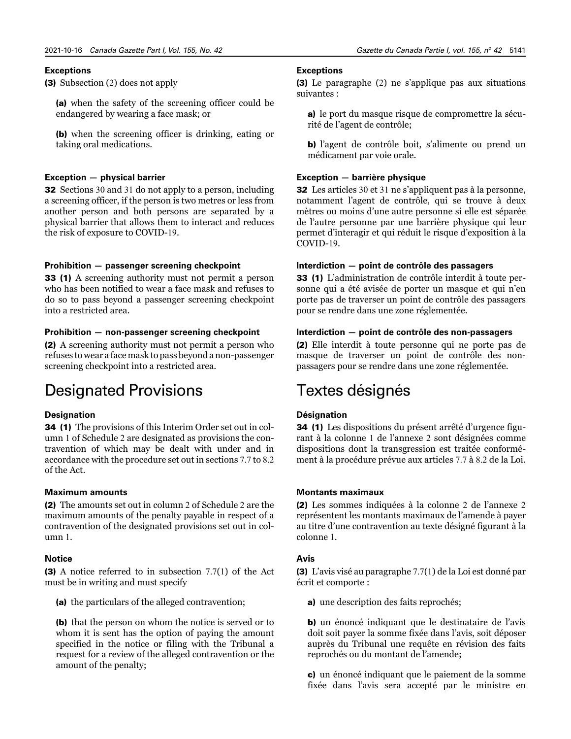# **Exceptions**

(3) Subsection (2) does not apply

(a) when the safety of the screening officer could be endangered by wearing a face mask; or

(b) when the screening officer is drinking, eating or taking oral medications.

#### **Exception — physical barrier**

**32** Sections 30 and 31 do not apply to a person, including a screening officer, if the person is two metres or less from another person and both persons are separated by a physical barrier that allows them to interact and reduces the risk of exposure to COVID-19.

# **Prohibition — passenger screening checkpoint**

33 (1) A screening authority must not permit a person who has been notified to wear a face mask and refuses to do so to pass beyond a passenger screening checkpoint into a restricted area.

# **Prohibition — non-passenger screening checkpoint**

(2) A screening authority must not permit a person who refuses to wear a face mask to pass beyond a non-passenger screening checkpoint into a restricted area.

# Designated Provisions

# **Designation**

34 (1) The provisions of this Interim Order set out in column 1 of Schedule 2 are designated as provisions the contravention of which may be dealt with under and in accordance with the procedure set out in sections 7.7 to 8.2 of the Act.

#### **Maximum amounts**

(2) The amounts set out in column 2 of Schedule 2 are the maximum amounts of the penalty payable in respect of a contravention of the designated provisions set out in column 1.

#### **Notice**

(3) A notice referred to in subsection 7.7(1) of the Act must be in writing and must specify

(a) the particulars of the alleged contravention;

(b) that the person on whom the notice is served or to whom it is sent has the option of paying the amount specified in the notice or filing with the Tribunal a request for a review of the alleged contravention or the amount of the penalty;

# **Exceptions**

(3) Le paragraphe (2) ne s'applique pas aux situations suivantes :

a) le port du masque risque de compromettre la sécurité de l'agent de contrôle;

b) l'agent de contrôle boit, s'alimente ou prend un médicament par voie orale.

#### **Exception — barrière physique**

32 Les articles 30 et 31 ne s'appliquent pas à la personne, notamment l'agent de contrôle, qui se trouve à deux mètres ou moins d'une autre personne si elle est séparée de l'autre personne par une barrière physique qui leur permet d'interagir et qui réduit le risque d'exposition à la COVID-19.

### **Interdiction — point de contrôle des passagers**

33 (1) L'administration de contrôle interdit à toute personne qui a été avisée de porter un masque et qui n'en porte pas de traverser un point de contrôle des passagers pour se rendre dans une zone réglementée.

#### **Interdiction — point de contrôle des non-passagers**

(2) Elle interdit à toute personne qui ne porte pas de masque de traverser un point de contrôle des nonpassagers pour se rendre dans une zone réglementée.

# Textes désignés

# **Désignation**

34 (1) Les dispositions du présent arrêté d'urgence figurant à la colonne 1 de l'annexe 2 sont désignées comme dispositions dont la transgression est traitée conformément à la procédure prévue aux articles 7.7 à 8.2 de la Loi.

# **Montants maximaux**

(2) Les sommes indiquées à la colonne 2 de l'annexe 2 représentent les montants maximaux de l'amende à payer au titre d'une contravention au texte désigné figurant à la colonne 1.

# **Avis**

(3) L'avis visé au paragraphe 7.7(1) de la Loi est donné par écrit et comporte :

a) une description des faits reprochés;

b) un énoncé indiquant que le destinataire de l'avis doit soit payer la somme fixée dans l'avis, soit déposer auprès du Tribunal une requête en révision des faits reprochés ou du montant de l'amende;

c) un énoncé indiquant que le paiement de la somme fixée dans l'avis sera accepté par le ministre en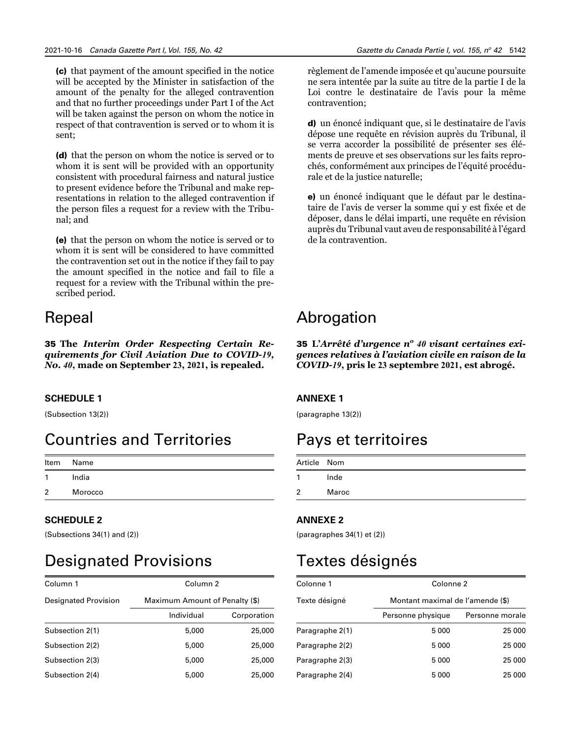(c) that payment of the amount specified in the notice will be accepted by the Minister in satisfaction of the amount of the penalty for the alleged contravention and that no further proceedings under Part I of the Act will be taken against the person on whom the notice in respect of that contravention is served or to whom it is sent;

(d) that the person on whom the notice is served or to whom it is sent will be provided with an opportunity consistent with procedural fairness and natural justice to present evidence before the Tribunal and make representations in relation to the alleged contravention if the person files a request for a review with the Tribunal; and

(e) that the person on whom the notice is served or to whom it is sent will be considered to have committed the contravention set out in the notice if they fail to pay the amount specified in the notice and fail to file a request for a review with the Tribunal within the prescribed period.

# Repeal

35 **The** *Interim Order Respecting Certain Requirements for Civil Aviation Due to COVID-19, No. 40***, made on September 23, 2021, is repealed.**

# **SCHEDULE 1**

(Subsection 13(2))

# Countries and Territories

| ltem | Name    |
|------|---------|
| 1    | India   |
| 2    | Morocco |

# **SCHEDULE 2**

(Subsections 34(1) and (2))

# Designated Provisions

| Column 1                    | Column 2                       |             |  |
|-----------------------------|--------------------------------|-------------|--|
| <b>Designated Provision</b> | Maximum Amount of Penalty (\$) |             |  |
|                             | Individual                     | Corporation |  |
| Subsection 2(1)             | 5,000                          | 25,000      |  |
| Subsection 2(2)             | 5,000                          | 25,000      |  |
| Subsection 2(3)             | 5,000                          | 25,000      |  |
| Subsection 2(4)             | 5,000                          | 25,000      |  |

règlement de l'amende imposée et qu'aucune poursuite ne sera intentée par la suite au titre de la partie I de la Loi contre le destinataire de l'avis pour la même contravention;

d) un énoncé indiquant que, si le destinataire de l'avis dépose une requête en révision auprès du Tribunal, il se verra accorder la possibilité de présenter ses éléments de preuve et ses observations sur les faits reprochés, conformément aux principes de l'équité procédurale et de la justice naturelle;

e) un énoncé indiquant que le défaut par le destinataire de l'avis de verser la somme qui y est fixée et de déposer, dans le délai imparti, une requête en révision auprès du Tribunal vaut aveu de responsabilité à l'égard de la contravention.

# Abrogation

35 **L'***Arrêté d'urgence no 40 visant certaines exigences relatives à l'aviation civile en raison de la COVID-19***, pris le 23 septembre 2021, est abrogé.**

# **ANNEXE 1**

(paragraphe 13(2))

# Pays et territoires

| Article Nom    |       |
|----------------|-------|
| 1              | Inde  |
| $\overline{2}$ | Maroc |

# **ANNEXE 2**

(paragraphes 34(1) et (2))

# Textes désignés

| Colonne 1       |                   | Colonne 2                        |  |  |
|-----------------|-------------------|----------------------------------|--|--|
| Texte désigné   |                   | Montant maximal de l'amende (\$) |  |  |
|                 | Personne physique | Personne morale                  |  |  |
| Paragraphe 2(1) | 5 0 0 0           | 25 000                           |  |  |
| Paragraphe 2(2) | 5000              | 25 000                           |  |  |
| Paragraphe 2(3) | 5 0 0 0           | 25 000                           |  |  |
| Paragraphe 2(4) | 5000              | 25 000                           |  |  |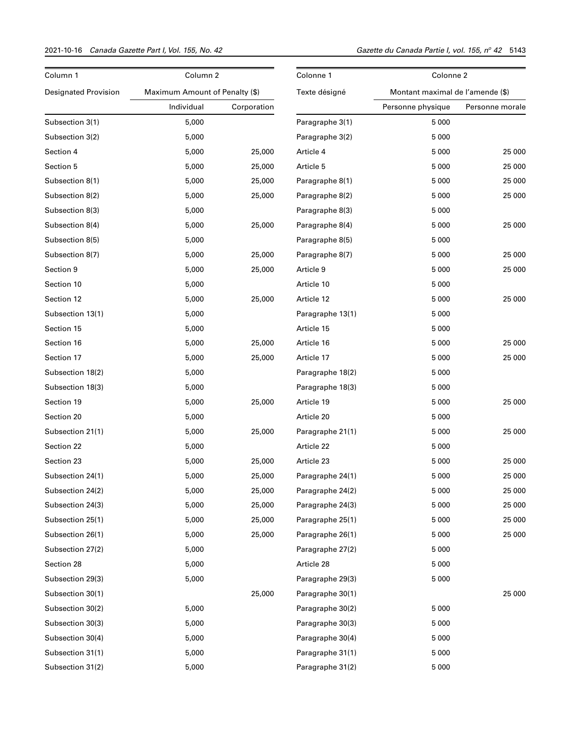# 2021-10-16 *Canada Gazette Part I, Vol. 155, No. 42 Gazette du Canada Partie I, vol. 155, n<sup>o</sup>*

| Column 1                    | Column 2                       | Colonne 1   |                  | Colonne 2                        |                 |
|-----------------------------|--------------------------------|-------------|------------------|----------------------------------|-----------------|
| <b>Designated Provision</b> | Maximum Amount of Penalty (\$) |             | Texte désigné    | Montant maximal de l'amende (\$) |                 |
|                             | Individual                     | Corporation |                  | Personne physique                | Personne morale |
| Subsection 3(1)             | 5,000                          |             | Paragraphe 3(1)  | 5 0 0 0                          |                 |
| Subsection 3(2)             | 5,000                          |             | Paragraphe 3(2)  | 5 0 0 0                          |                 |
| Section 4                   | 5,000                          | 25,000      | Article 4        | 5 0 0 0                          | 25 000          |
| Section 5                   | 5,000                          | 25,000      | Article 5        | 5 0 0 0                          | 25 000          |
| Subsection 8(1)             | 5,000                          | 25,000      | Paragraphe 8(1)  | 5 0 0 0                          | 25 000          |
| Subsection 8(2)             | 5,000                          | 25,000      | Paragraphe 8(2)  | 5 0 0 0                          | 25 000          |
| Subsection 8(3)             | 5,000                          |             | Paragraphe 8(3)  | 5 0 0 0                          |                 |
| Subsection 8(4)             | 5,000                          | 25,000      | Paragraphe 8(4)  | 5 0 0 0                          | 25 000          |
| Subsection 8(5)             | 5,000                          |             | Paragraphe 8(5)  | 5 0 0 0                          |                 |
| Subsection 8(7)             | 5,000                          | 25,000      | Paragraphe 8(7)  | 5 0 0 0                          | 25 000          |
| Section 9                   | 5,000                          | 25,000      | Article 9        | 5 0 0 0                          | 25 000          |
| Section 10                  | 5,000                          |             | Article 10       | 5 0 0 0                          |                 |
| Section 12                  | 5,000                          | 25,000      | Article 12       | 5 0 0 0                          | 25 000          |
| Subsection 13(1)            | 5,000                          |             | Paragraphe 13(1) | 5 0 0 0                          |                 |
| Section 15                  | 5,000                          |             | Article 15       | 5 0 0 0                          |                 |
| Section 16                  | 5,000                          | 25,000      | Article 16       | 5 0 0 0                          | 25 000          |
| Section 17                  | 5,000                          | 25,000      | Article 17       | 5 0 0 0                          | 25 000          |
| Subsection 18(2)            | 5,000                          |             | Paragraphe 18(2) | 5 0 0 0                          |                 |
| Subsection 18(3)            | 5,000                          |             | Paragraphe 18(3) | 5 0 0 0                          |                 |
| Section 19                  | 5,000                          | 25,000      | Article 19       | 5 0 0 0                          | 25 000          |
| Section 20                  | 5,000                          |             | Article 20       | 5 0 0 0                          |                 |
| Subsection 21(1)            | 5,000                          | 25,000      | Paragraphe 21(1) | 5 0 0 0                          | 25 000          |
| Section 22                  | 5,000                          |             | Article 22       | 5 0 0 0                          |                 |
| Section 23                  | 5,000                          | 25,000      | Article 23       | 5 0 0 0                          | 25 000          |
| Subsection 24(1)            | 5,000                          | 25,000      | Paragraphe 24(1) | 5 0 0 0                          | 25 000          |
| Subsection 24(2)            | 5,000                          | 25,000      | Paragraphe 24(2) | 5 0 0 0                          | 25 000          |
| Subsection 24(3)            | 5,000                          | 25,000      | Paragraphe 24(3) | 5 0 0 0                          | 25 000          |
| Subsection 25(1)            | 5,000                          | 25,000      | Paragraphe 25(1) | 5 0 0 0                          | 25 000          |
| Subsection 26(1)            | 5,000                          | 25,000      | Paragraphe 26(1) | 5 0 0 0                          | 25 000          |
| Subsection 27(2)            | 5,000                          |             | Paragraphe 27(2) | 5 0 0 0                          |                 |
| Section 28                  | 5,000                          |             | Article 28       | 5 0 0 0                          |                 |
| Subsection 29(3)            | 5,000                          |             | Paragraphe 29(3) | 5 0 0 0                          |                 |
| Subsection 30(1)            |                                | 25,000      | Paragraphe 30(1) |                                  | 25 000          |
| Subsection 30(2)            | 5,000                          |             | Paragraphe 30(2) | 5 0 0 0                          |                 |
| Subsection 30(3)            | 5,000                          |             | Paragraphe 30(3) | 5 0 0 0                          |                 |
| Subsection 30(4)            | 5,000                          |             | Paragraphe 30(4) | 5 0 0 0                          |                 |
| Subsection 31(1)            | 5,000                          |             | Paragraphe 31(1) | 5 0 0 0                          |                 |
| Subsection 31(2)            | 5,000                          |             | Paragraphe 31(2) | 5 0 0 0                          |                 |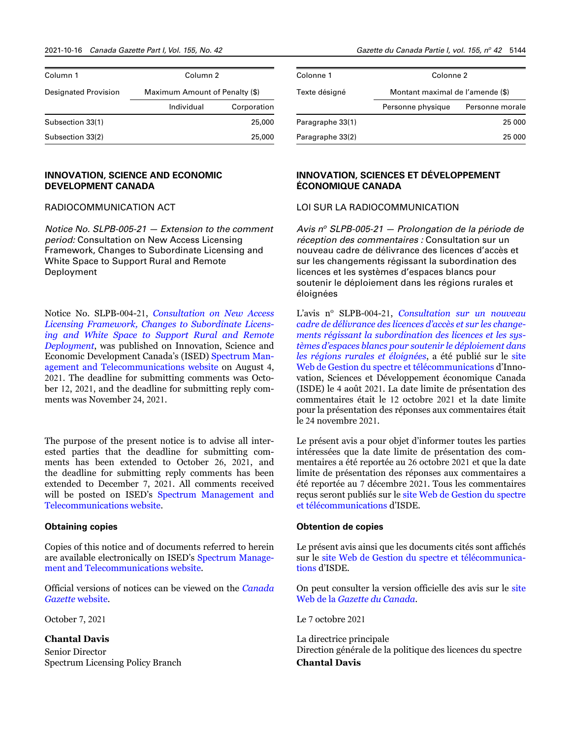| Column 1                    | Column <sub>2</sub>            |             |  |  |  |
|-----------------------------|--------------------------------|-------------|--|--|--|
| <b>Designated Provision</b> | Maximum Amount of Penalty (\$) |             |  |  |  |
|                             | Individual                     | Corporation |  |  |  |
| Subsection 33(1)            |                                | 25,000      |  |  |  |
| Subsection 33(2)            |                                | 25,000      |  |  |  |

# **INNOVATION, SCIENCE AND ECONOMIC DEVELOPMENT CANADA**

# RADIOCOMMUNICATION ACT

*Notice No. SLPB-005-21 — Extension to the comment period:* Consultation on New Access Licensing Framework, Changes to Subordinate Licensing and White Space to Support Rural and Remote Deployment

Notice No. SLPB-004-21, *[Consultation on New Access](https://www.ic.gc.ca/eic/site/smt-gst.nsf/eng/sf11717.html) [Licensing Framework, Changes to Subordinate Licens](https://www.ic.gc.ca/eic/site/smt-gst.nsf/eng/sf11717.html)[ing and White Space to Support Rural and Remote](https://www.ic.gc.ca/eic/site/smt-gst.nsf/eng/sf11717.html) [Deployment](https://www.ic.gc.ca/eic/site/smt-gst.nsf/eng/sf11717.html)*, was published on Innovation, Science and Economic Development Canada's (ISED) [Spectrum Man](http://www.ic.gc.ca/eic/site/smt-gst.nsf/eng/home)[agement and Telecommunications](http://www.ic.gc.ca/eic/site/smt-gst.nsf/eng/home) website on August 4, 2021. The deadline for submitting comments was October 12, 2021, and the deadline for submitting reply comments was November 24, 2021.

The purpose of the present notice is to advise all interested parties that the deadline for submitting comments has been extended to October 26, 2021, and the deadline for submitting reply comments has been extended to December 7, 2021. All comments received will be posted on ISED's [Spectrum Management and](http://www.ic.gc.ca/eic/site/smt-gst.nsf/eng/home)  [Telecommunications](http://www.ic.gc.ca/eic/site/smt-gst.nsf/eng/home) website.

#### **Obtaining copies**

Copies of this notice and of documents referred to herein are available electronically on ISED's [Spectrum Manage](http://www.ised.gc.ca/spectrum)[ment and Telecommunications](http://www.ised.gc.ca/spectrum) website.

Official versions of notices can be viewed on the *[Canada](http://www.gazette.gc.ca/rp-pr/publications-eng.html) Gazette* [website](http://www.gazette.gc.ca/rp-pr/publications-eng.html).

October 7, 2021

# **Chantal Davis**

Senior Director Spectrum Licensing Policy Branch

| Colonne 1        | Colonne 2                        |                 |  |  |  |
|------------------|----------------------------------|-----------------|--|--|--|
| Texte désigné    | Montant maximal de l'amende (\$) |                 |  |  |  |
|                  | Personne physique                | Personne morale |  |  |  |
| Paragraphe 33(1) |                                  | 25 000          |  |  |  |
| Paragraphe 33(2) |                                  | 25 000          |  |  |  |

# **INNOVATION, SCIENCES ET DÉVELOPPEMENT ÉCONOMIQUE CANADA**

# LOI SUR LA RADIOCOMMUNICATION

*Avis no SLPB-005-21 — Prolongation de la période de réception des commentaires :* Consultation sur un nouveau cadre de délivrance des licences d'accès et sur les changements régissant la subordination des licences et les systèmes d'espaces blancs pour soutenir le déploiement dans les régions rurales et éloignées

L'avis nº SLPB-004-21, *Consultation sur un nouveau [cadre de délivrance des licences d'accès et sur les change](https://www.ic.gc.ca/eic/site/smt-gst.nsf/fra/sf11717.html)[ments régissant la subordination des licences et les sys](https://www.ic.gc.ca/eic/site/smt-gst.nsf/fra/sf11717.html)[tèmes d'espaces blancs pour soutenir le déploiement dans](https://www.ic.gc.ca/eic/site/smt-gst.nsf/fra/sf11717.html)  [les régions rurales et éloignées](https://www.ic.gc.ca/eic/site/smt-gst.nsf/fra/sf11717.html)*, a été publié sur le [site](http://www.ic.gc.ca/eic/site/smt-gst.nsf/fra/accueil)  [Web de Gestion du spectre et télécommunications](http://www.ic.gc.ca/eic/site/smt-gst.nsf/fra/accueil) d'Innovation, Sciences et Développement économique Canada (ISDE) le 4 août 2021. La date limite de présentation des commentaires était le 12 octobre 2021 et la date limite pour la présentation des réponses aux commentaires était le 24 novembre 2021.

Le présent avis a pour objet d'informer toutes les parties intéressées que la date limite de présentation des commentaires a été reportée au 26 octobre 2021 et que la date limite de présentation des réponses aux commentaires a été reportée au 7 décembre 2021. Tous les commentaires reçus seront publiés sur le [site Web de Gestion du spectre](http://www.ic.gc.ca/eic/site/smt-gst.nsf/fra/accueil)  [et télécommunications](http://www.ic.gc.ca/eic/site/smt-gst.nsf/fra/accueil) d'ISDE.

#### **Obtention de copies**

Le présent avis ainsi que les documents cités sont affichés sur le [site Web de Gestion du spectre et télécommunica](https://www.ic.gc.ca/eic/site/smt-gst.nsf/fra/accueil)[tions](https://www.ic.gc.ca/eic/site/smt-gst.nsf/fra/accueil) d'ISDE.

On peut consulter la version officielle des avis sur le [site](http://www.gazette.gc.ca/rp-pr/publications-fra.html)  Web de la *[Gazette du Canada](http://www.gazette.gc.ca/rp-pr/publications-fra.html)*.

Le 7 octobre 2021

La directrice principale Direction générale de la politique des licences du spectre **Chantal Davis**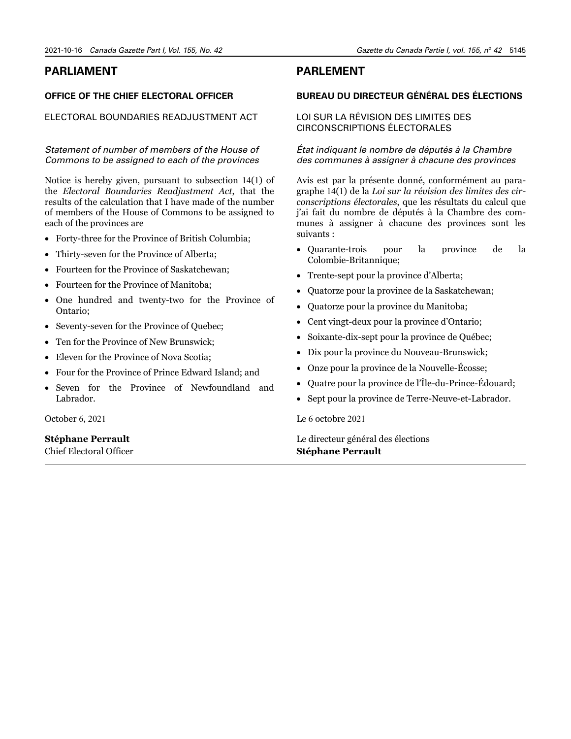# <span id="page-20-0"></span>**PARLIAMENT**

# **OFFICE OF THE CHIEF ELECTORAL OFFICER**

ELECTORAL BOUNDARIES READJUSTMENT ACT

# *Statement of number of members of the House of Commons to be assigned to each of the provinces*

Notice is hereby given, pursuant to subsection 14(1) of the *Electoral Boundaries Readjustment Act*, that the results of the calculation that I have made of the number of members of the House of Commons to be assigned to each of the provinces are

- Forty-three for the Province of British Columbia;
- Thirty-seven for the Province of Alberta;
- Fourteen for the Province of Saskatchewan;
- Fourteen for the Province of Manitoba;
- One hundred and twenty-two for the Province of Ontario;
- Seventy-seven for the Province of Quebec;
- Ten for the Province of New Brunswick;
- Eleven for the Province of Nova Scotia:
- Four for the Province of Prince Edward Island; and
- Seven for the Province of Newfoundland and Labrador.

October 6, 2021

# **Stéphane Perrault**

Chief Electoral Officer

# **PARLEMENT**

# **BUREAU DU DIRECTEUR GÉNÉRAL DES ÉLECTIONS**

# LOI SUR LA RÉVISION DES LIMITES DES CIRCONSCRIPTIONS ÉLECTORALES

# *État indiquant le nombre de députés à la Chambre des communes à assigner à chacune des provinces*

Avis est par la présente donné, conformément au paragraphe 14(1) de la *Loi sur la révision des limites des circonscriptions électorales*, que les résultats du calcul que j'ai fait du nombre de députés à la Chambre des communes à assigner à chacune des provinces sont les suivants :

- Quarante-trois pour la province de la Colombie-Britannique;
- Trente-sept pour la province d'Alberta;
- Quatorze pour la province de la Saskatchewan;
- Quatorze pour la province du Manitoba;
- Cent vingt-deux pour la province d'Ontario;
- Soixante-dix-sept pour la province de Québec;
- Dix pour la province du Nouveau-Brunswick;
- Onze pour la province de la Nouvelle-Écosse;
- Quatre pour la province de l'Île-du-Prince-Édouard;
- Sept pour la province de Terre-Neuve-et-Labrador.

Le 6 octobre 2021

Le directeur général des élections **Stéphane Perrault**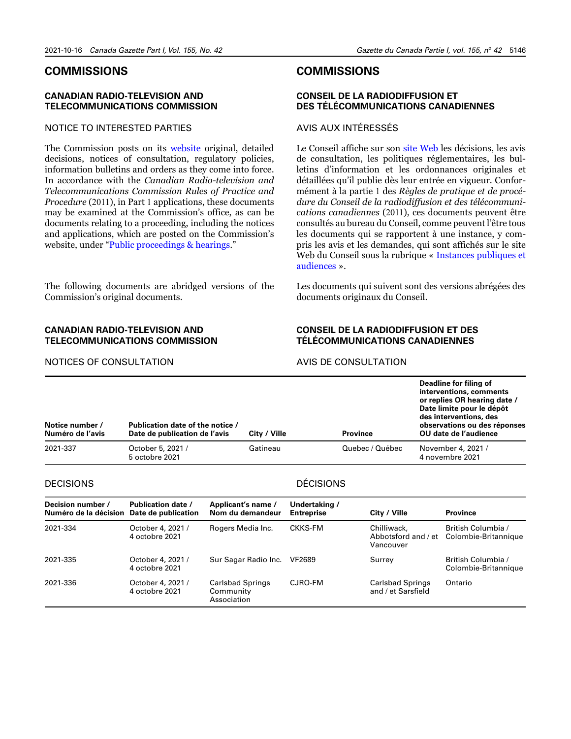# <span id="page-21-0"></span>**COMMISSIONS**

# **CANADIAN RADIO-TELEVISION AND TELECOMMUNICATIONS COMMISSION**

# NOTICE TO INTERESTED PARTIES

The Commission posts on its [website](https://crtc.gc.ca/eng/home-accueil.htm) original, detailed decisions, notices of consultation, regulatory policies, information bulletins and orders as they come into force. In accordance with the *Canadian Radio-television and Telecommunications Commission Rules of Practice and Procedure* (2011), in Part 1 applications, these documents may be examined at the Commission's office, as can be documents relating to a proceeding, including the notices and applications, which are posted on the Commission's website, under ["Public proceedings & hearings.](https://crtc.gc.ca/eng/consultation/)"

The following documents are abridged versions of the Commission's original documents.

# **CANADIAN RADIO-TELEVISION AND TELECOMMUNICATIONS COMMISSION**

# **COMMISSIONS**

# **CONSEIL DE LA RADIODIFFUSION ET DES TÉLÉCOMMUNICATIONS CANADIENNES**

# AVIS AUX INTÉRESSÉS

Le Conseil affiche sur son [site Web](https://crtc.gc.ca/fra/accueil-home.htm) les décisions, les avis de consultation, les politiques réglementaires, les bulletins d'information et les ordonnances originales et détaillées qu'il publie dès leur entrée en vigueur. Conformément à la partie 1 des *Règles de pratique et de procédure du Conseil de la radiodiffusion et des télécommunications canadiennes* (2011), ces documents peuvent être consultés au bureau du Conseil, comme peuvent l'être tous les documents qui se rapportent à une instance, y compris les avis et les demandes, qui sont affichés sur le site Web du Conseil sous la rubrique « [Instances publiques et](https://crtc.gc.ca/fra/consultation/)  [audiences](https://crtc.gc.ca/fra/consultation/) ».

Les documents qui suivent sont des versions abrégées des documents originaux du Conseil.

# **CONSEIL DE LA RADIODIFFUSION ET DES TÉLÉCOMMUNICATIONS CANADIENNES**

# NOTICES OF CONSULTATION

#### AVIS DE CONSULTATION

| Notice number /<br>Numéro de l'avis | Publication date of the notice /<br>Date de publication de l'avis | City / Ville | <b>Province</b> | Deadline for filing of<br>interventions, comments<br>or replies OR hearing date /<br>Date limite pour le dépôt<br>des interventions, des<br>observations ou des réponses<br>OU date de l'audience |
|-------------------------------------|-------------------------------------------------------------------|--------------|-----------------|---------------------------------------------------------------------------------------------------------------------------------------------------------------------------------------------------|
| 2021-337                            | October 5, 2021 /<br>5 octobre 2021                               | Gatineau     | Quebec / Québec | November 4, 2021 /<br>4 novembre 2021                                                                                                                                                             |

#### **DECISIONS**

# DÉCISIONS

| Decision number /<br>Numéro de la décision | <b>Publication date /</b><br>Date de publication | Applicant's name /<br>Nom du demandeur              | Undertaking /<br><b>Entreprise</b> | City / Ville                                    | <b>Province</b>                            |
|--------------------------------------------|--------------------------------------------------|-----------------------------------------------------|------------------------------------|-------------------------------------------------|--------------------------------------------|
| 2021-334                                   | October 4, 2021 /<br>4 octobre 2021              | Rogers Media Inc.                                   | CKKS-FM                            | Chilliwack,<br>Abbotsford and / et<br>Vancouver | British Columbia /<br>Colombie-Britannique |
| 2021-335                                   | October 4, 2021 /<br>4 octobre 2021              | Sur Sagar Radio Inc.                                | VF2689                             | Surrey                                          | British Columbia /<br>Colombie-Britannique |
| 2021-336                                   | October 4, 2021 /<br>4 octobre 2021              | <b>Carlsbad Springs</b><br>Community<br>Association | CJRO-FM                            | <b>Carlsbad Springs</b><br>and / et Sarsfield   | Ontario                                    |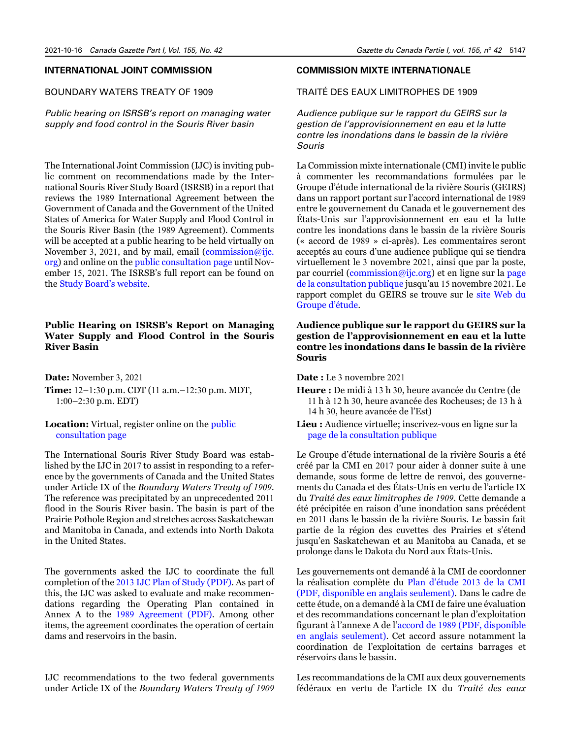# **INTERNATIONAL JOINT COMMISSION**

# BOUNDARY WATERS TREATY OF 1909

*Public hearing on ISRSB's report on managing water supply and food control in the Souris River basin*

The International Joint Commission (IJC) is inviting public comment on recommendations made by the International Souris River Study Board (ISRSB) in a report that reviews the 1989 International Agreement between the Government of Canada and the Government of the United States of America for Water Supply and Flood Control in the Souris River Basin (the 1989 Agreement). Comments will be accepted at a public hearing to be held virtually on November 3, 2021, and by mail, email  $($ [commission@ijc.](mailto:commission%40ijc.org?subject=) [org](mailto:commission%40ijc.org?subject=)) and online on the [public consultation page](https://ijc.org/en/srsb-flood-drought) until November 15, 2021. The ISRSB's full report can be found on the [Study Board's website](http://www.ijc.org/srsb).

# **Public Hearing on ISRSB's Report on Managing Water Supply and Flood Control in the Souris River Basin**

**Date:** November 3, 2021 **Time:** 12–1:30 p.m. CDT (11 a.m.–12:30 p.m. MDT, 1:00–2:30 p.m. EDT)

# **Location:** Virtual, register online on the [public](https://ijc.org/en/srsb-flood-drought)  [consultation page](https://ijc.org/en/srsb-flood-drought)

The International Souris River Study Board was established by the IJC in 2017 to assist in responding to a reference by the governments of Canada and the United States under Article IX of the *Boundary Waters Treaty of 1909*. The reference was precipitated by an unprecedented 2011 flood in the Souris River basin. The basin is part of the Prairie Pothole Region and stretches across Saskatchewan and Manitoba in Canada, and extends into North Dakota in the United States.

The governments asked the IJC to coordinate the full completion of the 2013 [IJC Plan of Study \(PDF\)](https://ijc.org/sites/default/files/Souris%20River%20Basin%20Plan%20of%20Study.pdf). As part of this, the IJC was asked to evaluate and make recommendations regarding the Operating Plan contained in Annex A to the 1989 [Agreement \(PDF\)](https://www.ijc.org/sites/default/files/2019-12/Water%20Supply%20and%20Flood%20Control-Souris%20River_Wayne_Dec_2_1.pdf). Among other items, the agreement coordinates the operation of certain dams and reservoirs in the basin.

IJC recommendations to the two federal governments under Article IX of the *Boundary Waters Treaty of 1909* 

# **COMMISSION MIXTE INTERNATIONALE**

TRAITÉ DES EAUX LIMITROPHES DE 1909

*Audience publique sur le rapport du GEIRS sur la gestion de l'approvisionnement en eau et la lutte contre les inondations dans le bassin de la rivière Souris* 

La Commission mixte internationale (CMI) invite le public à commenter les recommandations formulées par le Groupe d'étude international de la rivière Souris (GEIRS) dans un rapport portant sur l'accord international de 1989 entre le gouvernement du Canada et le gouvernement des États-Unis sur l'approvisionnement en eau et la lutte contre les inondations dans le bassin de la rivière Souris (« accord de 1989 » ci-après). Les commentaires seront acceptés au cours d'une audience publique qui se tiendra virtuellement le 3 novembre 2021, ainsi que par la poste, par courriel [\(commission@ijc.org\)](mailto:commission%40ijc.org?subject=) et en ligne sur la [page](https://ijc.org/fr/srsb-inondation-secheresse)  [de la consultation publique j](https://ijc.org/fr/srsb-inondation-secheresse)usqu'au 15 novembre 2021. Le rapport complet du GEIRS se trouve sur le [site Web du](https://www.ijc.org/fr/srsb)  [Groupe d'étude](https://www.ijc.org/fr/srsb).

# **Audience publique sur le rapport du GEIRS sur la gestion de l'approvisionnement en eau et la lutte contre les inondations dans le bassin de la rivière Souris**

**Date :** Le 3 novembre 2021

- **Heure :** De midi à 13 h 30, heure avancée du Centre (de 11 h à 12 h 30, heure avancée des Rocheuses; de 13 h à 14 h 30, heure avancée de l'Est)
- **Lieu :** Audience virtuelle; inscrivez-vous en ligne sur la [page de la consultation publique](https://ijc.org/fr/srsb-inondation-secheresse)

Le Groupe d'étude international de la rivière Souris a été créé par la CMI en 2017 pour aider à donner suite à une demande, sous forme de lettre de renvoi, des gouvernements du Canada et des États-Unis en vertu de l'article IX du *Traité des eaux limitrophes de 1909*. Cette demande a été précipitée en raison d'une inondation sans précédent en 2011 dans le bassin de la rivière Souris. Le bassin fait partie de la région des cuvettes des Prairies et s'étend jusqu'en Saskatchewan et au Manitoba au Canada, et se prolonge dans le Dakota du Nord aux États-Unis.

Les gouvernements ont demandé à la CMI de coordonner la réalisation complète du [Plan d'étude](https://ijc.org/sites/default/files/Souris%20River%20Basin%20Plan%20of%20Study.pdf) 2013 de la CMI [\(PDF, disponible en anglais seulement\)](https://ijc.org/sites/default/files/Souris%20River%20Basin%20Plan%20of%20Study.pdf). Dans le cadre de cette étude, on a demandé à la CMI de faire une évaluation et des recommandations concernant le plan d'exploitation figurant à l'annexe A de l'accord de 1989 [\(PDF, disponible](https://www.ijc.org/sites/default/files/2019-12/Water%20Supply%20and%20Flood%20Control-Souris%20River_Wayne_Dec_2_1.pdf)  [en anglais seulement\)](https://www.ijc.org/sites/default/files/2019-12/Water%20Supply%20and%20Flood%20Control-Souris%20River_Wayne_Dec_2_1.pdf). Cet accord assure notamment la coordination de l'exploitation de certains barrages et réservoirs dans le bassin.

Les recommandations de la CMI aux deux gouvernements fédéraux en vertu de l'article IX du *Traité des eaux*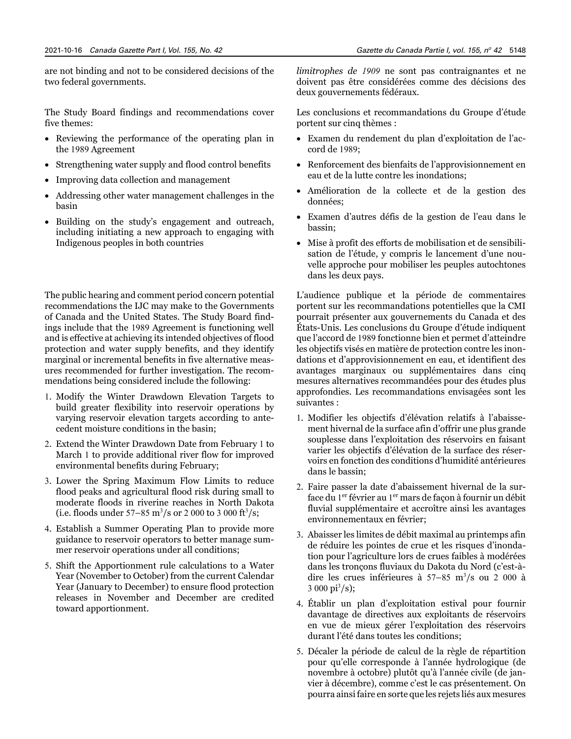are not binding and not to be considered decisions of the two federal governments.

The Study Board findings and recommendations cover five themes:

- Reviewing the performance of the operating plan in the 1989 Agreement
- Strengthening water supply and flood control benefits
- Improving data collection and management
- Addressing other water management challenges in the basin
- Building on the study's engagement and outreach, including initiating a new approach to engaging with Indigenous peoples in both countries

The public hearing and comment period concern potential recommendations the IJC may make to the Governments of Canada and the United States. The Study Board findings include that the 1989 Agreement is functioning well and is effective at achieving its intended objectives of flood protection and water supply benefits, and they identify marginal or incremental benefits in five alternative measures recommended for further investigation. The recommendations being considered include the following:

- 1. Modify the Winter Drawdown Elevation Targets to build greater flexibility into reservoir operations by varying reservoir elevation targets according to antecedent moisture conditions in the basin;
- 2. Extend the Winter Drawdown Date from February 1 to March 1 to provide additional river flow for improved environmental benefits during February;
- 3. Lower the Spring Maximum Flow Limits to reduce flood peaks and agricultural flood risk during small to moderate floods in riverine reaches in North Dakota (i.e. floods under  $57-85 \text{ m}^3/\text{s}$  or 2 000 to 3 000 ft<sup>3</sup>/s;
- 4. Establish a Summer Operating Plan to provide more guidance to reservoir operators to better manage summer reservoir operations under all conditions;
- 5. Shift the Apportionment rule calculations to a Water Year (November to October) from the current Calendar Year (January to December) to ensure flood protection releases in November and December are credited toward apportionment.

*limitrophes de 1909* ne sont pas contraignantes et ne doivent pas être considérées comme des décisions des deux gouvernements fédéraux.

Les conclusions et recommandations du Groupe d'étude portent sur cinq thèmes :

- Examen du rendement du plan d'exploitation de l'accord de 1989;
- Renforcement des bienfaits de l'approvisionnement en eau et de la lutte contre les inondations;
- Amélioration de la collecte et de la gestion des données;
- Examen d'autres défis de la gestion de l'eau dans le bassin;
- Mise à profit des efforts de mobilisation et de sensibilisation de l'étude, y compris le lancement d'une nouvelle approche pour mobiliser les peuples autochtones dans les deux pays.

L'audience publique et la période de commentaires portent sur les recommandations potentielles que la CMI pourrait présenter aux gouvernements du Canada et des États-Unis. Les conclusions du Groupe d'étude indiquent que l'accord de 1989 fonctionne bien et permet d'atteindre les objectifs visés en matière de protection contre les inondations et d'approvisionnement en eau, et identifient des avantages marginaux ou supplémentaires dans cinq mesures alternatives recommandées pour des études plus approfondies. Les recommandations envisagées sont les suivantes :

- 1. Modifier les objectifs d'élévation relatifs à l'abaissement hivernal de la surface afin d'offrir une plus grande souplesse dans l'exploitation des réservoirs en faisant varier les objectifs d'élévation de la surface des réservoirs en fonction des conditions d'humidité antérieures dans le bassin;
- 2. Faire passer la date d'abaissement hivernal de la surface du 1<sup>er</sup> février au 1<sup>er</sup> mars de façon à fournir un débit fluvial supplémentaire et accroître ainsi les avantages environnementaux en février;
- 3. Abaisser les limites de débit maximal au printemps afin de réduire les pointes de crue et les risques d'inondation pour l'agriculture lors de crues faibles à modérées dans les tronçons fluviaux du Dakota du Nord (c'est-àdire les crues inférieures à 57-85 m<sup>3</sup>/s ou 2 000 à  $3\ 000\ \rm{pi^3/s}$ ;
- 4. Établir un plan d'exploitation estival pour fournir davantage de directives aux exploitants de réservoirs en vue de mieux gérer l'exploitation des réservoirs durant l'été dans toutes les conditions;
- 5. Décaler la période de calcul de la règle de répartition pour qu'elle corresponde à l'année hydrologique (de novembre à octobre) plutôt qu'à l'année civile (de janvier à décembre), comme c'est le cas présentement. On pourra ainsi faire en sorte que les rejets liés aux mesures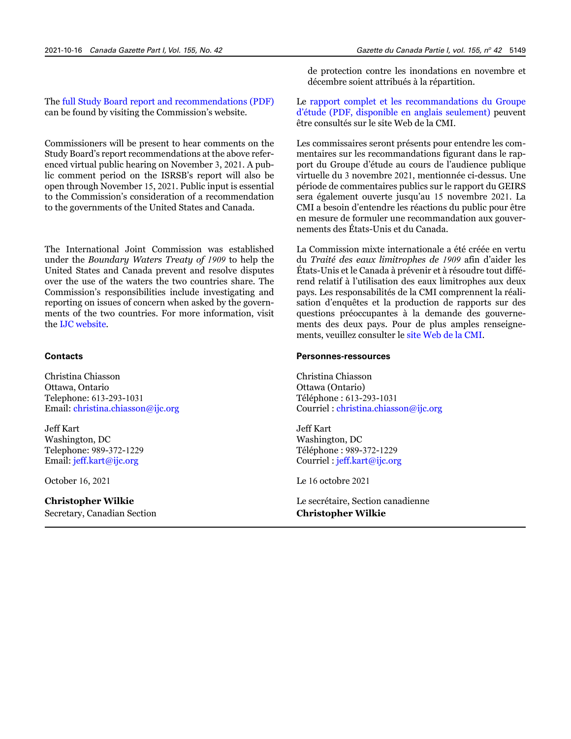The [full Study Board report and recommendations \(PDF\)](https://www.ijc.org/sites/default/files/ISRSB%20Final%20Report.pdf) can be found by visiting the Commission's website.

Commissioners will be present to hear comments on the Study Board's report recommendations at the above referenced virtual public hearing on November 3, 2021. A public comment period on the ISRSB's report will also be open through November 15, 2021. Public input is essential to the Commission's consideration of a recommendation to the governments of the United States and Canada.

The International Joint Commission was established under the *Boundary Waters Treaty of 1909* to help the United States and Canada prevent and resolve disputes over the use of the waters the two countries share. The Commission's responsibilities include investigating and reporting on issues of concern when asked by the governments of the two countries. For more information, visit the [IJC website.](http://www.ijc.org)

#### **Contacts**

Christina Chiasson Ottawa, Ontario Telephone: 613-293-1031 Email: [christina.chiasson@ijc.org](mailto:christina.chiasson%40ijc.org?subject=)

Jeff Kart Washington, DC Telephone: 989-372-1229 Email: [jeff.kart@ijc.org](mailto:jeff.kart%40ijc.org?subject=)

October 16, 2021

# **Christopher Wilkie**

Secretary, Canadian Section

de protection contre les inondations en novembre et décembre soient attribués à la répartition.

Le [rapport complet et les recommandations du Groupe](https://www.ijc.org/sites/default/files/ISRSB%20Final%20Report.pdf)  [d'étude \(PDF, disponible en anglais seulement\)](https://www.ijc.org/sites/default/files/ISRSB%20Final%20Report.pdf) peuvent être consultés sur le site Web de la CMI.

Les commissaires seront présents pour entendre les commentaires sur les recommandations figurant dans le rapport du Groupe d'étude au cours de l'audience publique virtuelle du 3 novembre 2021, mentionnée ci-dessus. Une période de commentaires publics sur le rapport du GEIRS sera également ouverte jusqu'au 15 novembre 2021. La CMI a besoin d'entendre les réactions du public pour être en mesure de formuler une recommandation aux gouvernements des États-Unis et du Canada.

La Commission mixte internationale a été créée en vertu du *Traité des eaux limitrophes de 1909* afin d'aider les États-Unis et le Canada à prévenir et à résoudre tout différend relatif à l'utilisation des eaux limitrophes aux deux pays. Les responsabilités de la CMI comprennent la réalisation d'enquêtes et la production de rapports sur des questions préoccupantes à la demande des gouvernements des deux pays. Pour de plus amples renseignements, veuillez consulter le [site Web de la CMI](https://www.ijc.org/fr).

#### **Personnes-ressources**

Christina Chiasson Ottawa (Ontario) Téléphone : 613-293-1031 Courriel : [christina.chiasson@ijc.org](mailto:christina.chiasson%40ijc.org?subject=)

Jeff Kart Washington, DC Téléphone : 989-372-1229 Courriel : [jeff.kart@ijc.org](mailto:jeff.kart%40ijc.org?subject=)

Le 16 octobre 2021

Le secrétaire, Section canadienne **Christopher Wilkie**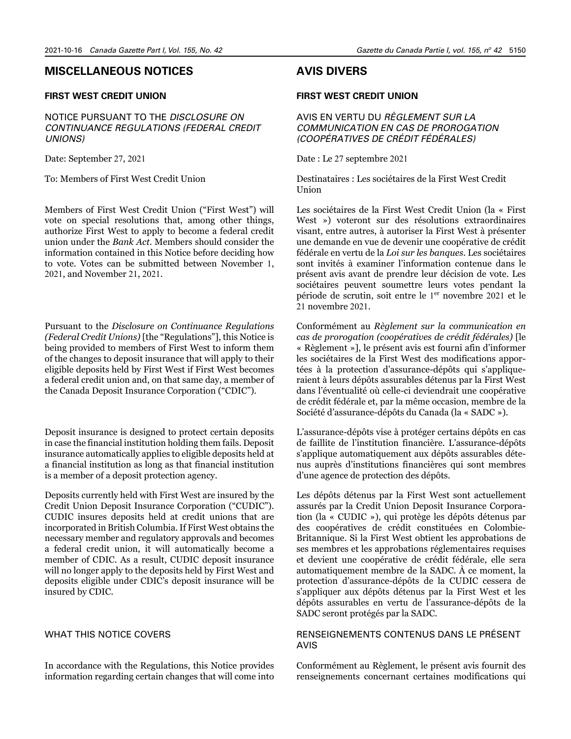# <span id="page-25-0"></span>**MISCELLANEOUS NOTICES**

# **FIRST WEST CREDIT UNION**

NOTICE PURSUANT TO THE *DISCLOSURE ON CONTINUANCE REGULATIONS (FEDERAL CREDIT UNIONS)*

Date: September 27, 2021

To: Members of First West Credit Union

Members of First West Credit Union ("First West") will vote on special resolutions that, among other things, authorize First West to apply to become a federal credit union under the *Bank Act*. Members should consider the information contained in this Notice before deciding how to vote. Votes can be submitted between November 1, 2021, and November 21, 2021.

Pursuant to the *Disclosure on Continuance Regulations (Federal Credit Unions)* [the "Regulations"], this Notice is being provided to members of First West to inform them of the changes to deposit insurance that will apply to their eligible deposits held by First West if First West becomes a federal credit union and, on that same day, a member of the Canada Deposit Insurance Corporation ("CDIC").

Deposit insurance is designed to protect certain deposits in case the financial institution holding them fails. Deposit insurance automatically applies to eligible deposits held at a financial institution as long as that financial institution is a member of a deposit protection agency.

Deposits currently held with First West are insured by the Credit Union Deposit Insurance Corporation ("CUDIC"). CUDIC insures deposits held at credit unions that are incorporated in British Columbia. If First West obtains the necessary member and regulatory approvals and becomes a federal credit union, it will automatically become a member of CDIC. As a result, CUDIC deposit insurance will no longer apply to the deposits held by First West and deposits eligible under CDIC's deposit insurance will be insured by CDIC.

#### WHAT THIS NOTICE COVERS

In accordance with the Regulations, this Notice provides information regarding certain changes that will come into

# **AVIS DIVERS**

#### **FIRST WEST CREDIT UNION**

AVIS EN VERTU DU *RÈGLEMENT SUR LA COMMUNICATION EN CAS DE PROROGATION (COOPÉRATIVES DE CRÉDIT FÉDÉRALES)*

Date : Le 27 septembre 2021

Destinataires : Les sociétaires de la First West Credit Union

Les sociétaires de la First West Credit Union (la « First West ») voteront sur des résolutions extraordinaires visant, entre autres, à autoriser la First West à présenter une demande en vue de devenir une coopérative de crédit fédérale en vertu de la *Loi sur les banques*. Les sociétaires sont invités à examiner l'information contenue dans le présent avis avant de prendre leur décision de vote. Les sociétaires peuvent soumettre leurs votes pendant la période de scrutin, soit entre le 1<sup>er</sup> novembre 2021 et le 21 novembre 2021.

Conformément au *Règlement sur la communication en cas de prorogation (coopératives de crédit fédérales)* [le « Règlement »], le présent avis est fourni afin d'informer les sociétaires de la First West des modifications apportées à la protection d'assurance-dépôts qui s'appliqueraient à leurs dépôts assurables détenus par la First West dans l'éventualité où celle-ci deviendrait une coopérative de crédit fédérale et, par la même occasion, membre de la Société d'assurance-dépôts du Canada (la « SADC »).

L'assurance-dépôts vise à protéger certains dépôts en cas de faillite de l'institution financière. L'assurance-dépôts s'applique automatiquement aux dépôts assurables détenus auprès d'institutions financières qui sont membres d'une agence de protection des dépôts.

Les dépôts détenus par la First West sont actuellement assurés par la Credit Union Deposit Insurance Corporation (la « CUDIC »), qui protège les dépôts détenus par des coopératives de crédit constituées en Colombie-Britannique. Si la First West obtient les approbations de ses membres et les approbations réglementaires requises et devient une coopérative de crédit fédérale, elle sera automatiquement membre de la SADC. À ce moment, la protection d'assurance-dépôts de la CUDIC cessera de s'appliquer aux dépôts détenus par la First West et les dépôts assurables en vertu de l'assurance-dépôts de la SADC seront protégés par la SADC.

# RENSEIGNEMENTS CONTENUS DANS LE PRÉSENT AVIS

Conformément au Règlement, le présent avis fournit des renseignements concernant certaines modifications qui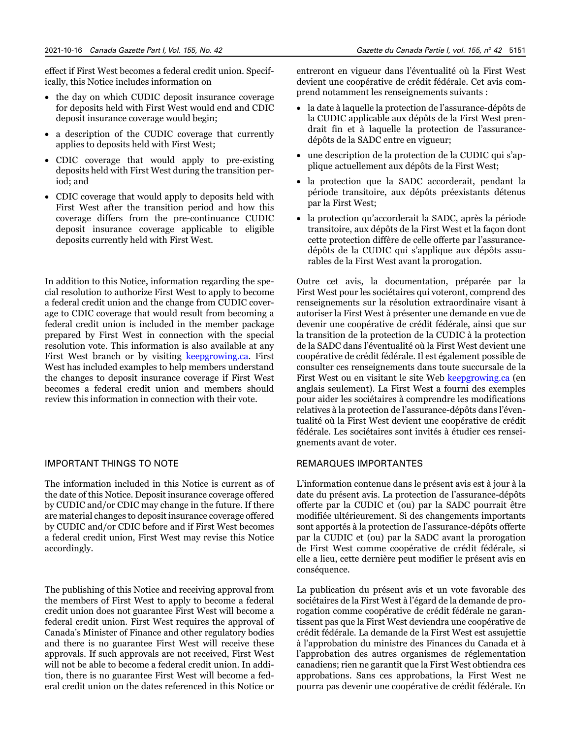effect if First West becomes a federal credit union. Specifically, this Notice includes information on

- the day on which CUDIC deposit insurance coverage for deposits held with First West would end and CDIC deposit insurance coverage would begin;
- a description of the CUDIC coverage that currently applies to deposits held with First West;
- CDIC coverage that would apply to pre-existing deposits held with First West during the transition period; and
- CDIC coverage that would apply to deposits held with First West after the transition period and how this coverage differs from the pre-continuance CUDIC deposit insurance coverage applicable to eligible deposits currently held with First West.

In addition to this Notice, information regarding the special resolution to authorize First West to apply to become a federal credit union and the change from CUDIC coverage to CDIC coverage that would result from becoming a federal credit union is included in the member package prepared by First West in connection with the special resolution vote. This information is also available at any First West branch or by visiting [keepgrowing.ca](http://keepgrowing.ca). First West has included examples to help members understand the changes to deposit insurance coverage if First West becomes a federal credit union and members should review this information in connection with their vote.

#### IMPORTANT THINGS TO NOTE

The information included in this Notice is current as of the date of this Notice. Deposit insurance coverage offered by CUDIC and/or CDIC may change in the future. If there are material changes to deposit insurance coverage offered by CUDIC and/or CDIC before and if First West becomes a federal credit union, First West may revise this Notice accordingly.

The publishing of this Notice and receiving approval from the members of First West to apply to become a federal credit union does not guarantee First West will become a federal credit union. First West requires the approval of Canada's Minister of Finance and other regulatory bodies and there is no guarantee First West will receive these approvals. If such approvals are not received, First West will not be able to become a federal credit union. In addition, there is no guarantee First West will become a federal credit union on the dates referenced in this Notice or

entreront en vigueur dans l'éventualité où la First West devient une coopérative de crédit fédérale. Cet avis comprend notamment les renseignements suivants :

- la date à laquelle la protection de l'assurance-dépôts de la CUDIC applicable aux dépôts de la First West prendrait fin et à laquelle la protection de l'assurancedépôts de la SADC entre en vigueur;
- une description de la protection de la CUDIC qui s'applique actuellement aux dépôts de la First West;
- la protection que la SADC accorderait, pendant la période transitoire, aux dépôts préexistants détenus par la First West;
- la protection qu'accorderait la SADC, après la période transitoire, aux dépôts de la First West et la façon dont cette protection diffère de celle offerte par l'assurancedépôts de la CUDIC qui s'applique aux dépôts assurables de la First West avant la prorogation.

Outre cet avis, la documentation, préparée par la First West pour les sociétaires qui voteront, comprend des renseignements sur la résolution extraordinaire visant à autoriser la First West à présenter une demande en vue de devenir une coopérative de crédit fédérale, ainsi que sur la transition de la protection de la CUDIC à la protection de la SADC dans l'éventualité où la First West devient une coopérative de crédit fédérale. Il est également possible de consulter ces renseignements dans toute succursale de la First West ou en visitant le site Web [keepgrowing.ca](http://keepgrowing.ca) (en anglais seulement). La First West a fourni des exemples pour aider les sociétaires à comprendre les modifications relatives à la protection de l'assurance-dépôts dans l'éventualité où la First West devient une coopérative de crédit fédérale. Les sociétaires sont invités à étudier ces renseignements avant de voter.

### REMARQUES IMPORTANTES

L'information contenue dans le présent avis est à jour à la date du présent avis. La protection de l'assurance-dépôts offerte par la CUDIC et (ou) par la SADC pourrait être modifiée ultérieurement. Si des changements importants sont apportés à la protection de l'assurance-dépôts offerte par la CUDIC et (ou) par la SADC avant la prorogation de First West comme coopérative de crédit fédérale, si elle a lieu, cette dernière peut modifier le présent avis en conséquence.

La publication du présent avis et un vote favorable des sociétaires de la First West à l'égard de la demande de prorogation comme coopérative de crédit fédérale ne garantissent pas que la First West deviendra une coopérative de crédit fédérale. La demande de la First West est assujettie à l'approbation du ministre des Finances du Canada et à l'approbation des autres organismes de réglementation canadiens; rien ne garantit que la First West obtiendra ces approbations. Sans ces approbations, la First West ne pourra pas devenir une coopérative de crédit fédérale. En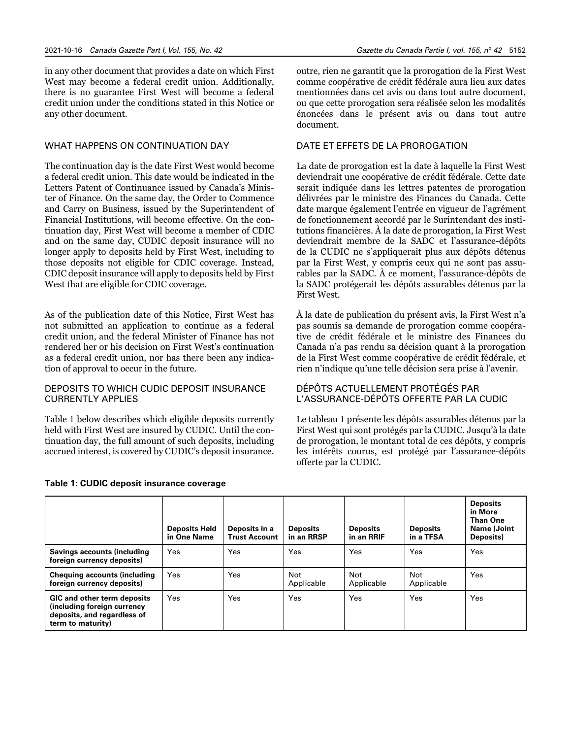in any other document that provides a date on which First West may become a federal credit union. Additionally, there is no guarantee First West will become a federal credit union under the conditions stated in this Notice or any other document.

# WHAT HAPPENS ON CONTINUATION DAY

The continuation day is the date First West would become a federal credit union. This date would be indicated in the Letters Patent of Continuance issued by Canada's Minister of Finance. On the same day, the Order to Commence and Carry on Business, issued by the Superintendent of Financial Institutions, will become effective. On the continuation day, First West will become a member of CDIC and on the same day, CUDIC deposit insurance will no longer apply to deposits held by First West, including to those deposits not eligible for CDIC coverage. Instead, CDIC deposit insurance will apply to deposits held by First West that are eligible for CDIC coverage.

As of the publication date of this Notice, First West has not submitted an application to continue as a federal credit union, and the federal Minister of Finance has not rendered her or his decision on First West's continuation as a federal credit union, nor has there been any indication of approval to occur in the future.

# DEPOSITS TO WHICH CUDIC DEPOSIT INSURANCE CURRENTLY APPLIES

Table 1 below describes which eligible deposits currently held with First West are insured by CUDIC. Until the continuation day, the full amount of such deposits, including accrued interest, is covered by CUDIC's deposit insurance.

#### **Table 1: CUDIC deposit insurance coverage**

outre, rien ne garantit que la prorogation de la First West comme coopérative de crédit fédérale aura lieu aux dates mentionnées dans cet avis ou dans tout autre document, ou que cette prorogation sera réalisée selon les modalités énoncées dans le présent avis ou dans tout autre document.

# DATE ET EFFETS DE LA PROROGATION

La date de prorogation est la date à laquelle la First West deviendrait une coopérative de crédit fédérale. Cette date serait indiquée dans les lettres patentes de prorogation délivrées par le ministre des Finances du Canada. Cette date marque également l'entrée en vigueur de l'agrément de fonctionnement accordé par le Surintendant des institutions financières. À la date de prorogation, la First West deviendrait membre de la SADC et l'assurance-dépôts de la CUDIC ne s'appliquerait plus aux dépôts détenus par la First West, y compris ceux qui ne sont pas assurables par la SADC. À ce moment, l'assurance-dépôts de la SADC protégerait les dépôts assurables détenus par la First West.

À la date de publication du présent avis, la First West n'a pas soumis sa demande de prorogation comme coopérative de crédit fédérale et le ministre des Finances du Canada n'a pas rendu sa décision quant à la prorogation de la First West comme coopérative de crédit fédérale, et rien n'indique qu'une telle décision sera prise à l'avenir.

# DÉPÔTS ACTUELLEMENT PROTÉGÉS PAR L'ASSURANCE-DÉPÔTS OFFERTE PAR LA CUDIC

Le tableau 1 présente les dépôts assurables détenus par la First West qui sont protégés par la CUDIC. Jusqu'à la date de prorogation, le montant total de ces dépôts, y compris les intérêts courus, est protégé par l'assurance-dépôts offerte par la CUDIC.

|                                                                                                                       | <b>Deposits Held</b><br>in One Name | Deposits in a<br><b>Trust Account</b> | <b>Deposits</b><br>in an RRSP | <b>Deposits</b><br>in an RRIF | <b>Deposits</b><br>in a TFSA | <b>Deposits</b><br>in More<br><b>Than One</b><br>Name (Joint<br>Deposits) |
|-----------------------------------------------------------------------------------------------------------------------|-------------------------------------|---------------------------------------|-------------------------------|-------------------------------|------------------------------|---------------------------------------------------------------------------|
| Savings accounts (including<br>foreign currency deposits)                                                             | Yes                                 | Yes                                   | Yes                           | Yes                           | Yes                          | Yes                                                                       |
| <b>Chequing accounts (including</b><br>foreign currency deposits)                                                     | Yes                                 | Yes                                   | <b>Not</b><br>Applicable      | Not<br>Applicable             | Not<br>Applicable            | Yes                                                                       |
| <b>GIC and other term deposits</b><br>(including foreign currency<br>deposits, and regardless of<br>term to maturity) | Yes                                 | Yes                                   | Yes                           | Yes                           | Yes                          | Yes                                                                       |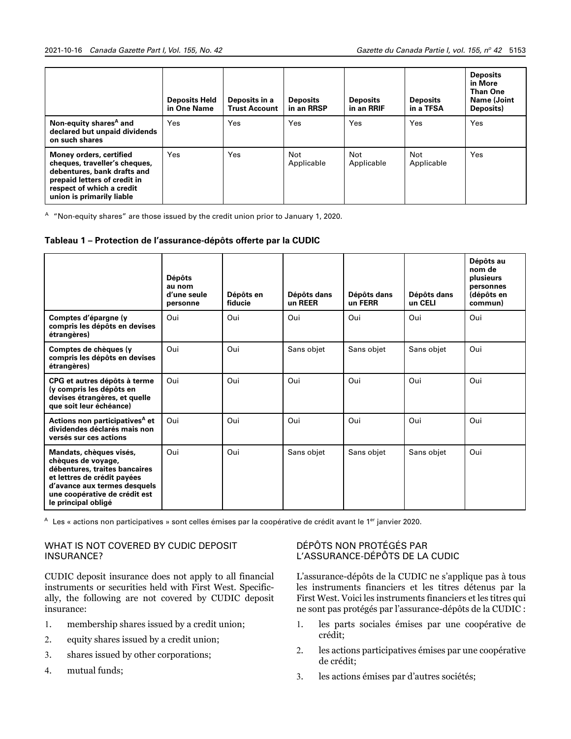|                                                                                                                                                                                   | <b>Deposits Held</b><br>in One Name | Deposits in a<br><b>Trust Account</b> | <b>Deposits</b><br>in an RRSP | <b>Deposits</b><br>in an RRIF | <b>Deposits</b><br>in a TFSA | <b>Deposits</b><br>in More<br><b>Than One</b><br>Name (Joint<br>Deposits) |
|-----------------------------------------------------------------------------------------------------------------------------------------------------------------------------------|-------------------------------------|---------------------------------------|-------------------------------|-------------------------------|------------------------------|---------------------------------------------------------------------------|
| Non-equity shares <sup>A</sup> and<br>declared but unpaid dividends<br>on such shares                                                                                             | Yes                                 | Yes                                   | Yes                           | Yes                           | Yes                          | Yes                                                                       |
| Money orders, certified<br>cheques, traveller's cheques,<br>debentures, bank drafts and<br>prepaid letters of credit in<br>respect of which a credit<br>union is primarily liable | Yes                                 | Yes                                   | <b>Not</b><br>Applicable      | Not<br>Applicable             | Not<br>Applicable            | Yes                                                                       |

<sup>A</sup> "Non-equity shares" are those issued by the credit union prior to January 1, 2020.

# **Tableau 1 – Protection de l'assurance-dépôts offerte par la CUDIC**

|                                                                                                                                                                                                       | <b>Dépôts</b><br>au nom<br>d'une seule<br>personne | Dépôts en<br>fiducie | Dépôts dans<br>un REER | Dépôts dans<br>un FERR | Dépôts dans<br>un CELI | Dépôts au<br>nom de<br>plusieurs<br>personnes<br>(dépôts en<br>commun) |
|-------------------------------------------------------------------------------------------------------------------------------------------------------------------------------------------------------|----------------------------------------------------|----------------------|------------------------|------------------------|------------------------|------------------------------------------------------------------------|
| Comptes d'épargne (y<br>compris les dépôts en devises<br>étrangères)                                                                                                                                  | Oui                                                | Oui                  | Oui                    | Oui                    | Oui                    | Oui                                                                    |
| Comptes de chèques (y<br>compris les dépôts en devises<br>étrangères)                                                                                                                                 | Oui                                                | Oui                  | Sans objet             | Sans objet             | Sans objet             | Oui                                                                    |
| CPG et autres dépôts à terme<br>(y compris les dépôts en<br>devises étrangères, et quelle<br>que soit leur échéance)                                                                                  | Oui                                                | Oui                  | Oui                    | Oui                    | Oui                    | Oui                                                                    |
| Actions non participatives <sup>A</sup> et<br>dividendes déclarés mais non<br>versés sur ces actions                                                                                                  | Oui                                                | Oui                  | Oui                    | Oui                    | Oui                    | Oui                                                                    |
| Mandats, chèques visés,<br>chèques de voyage,<br>débentures, traites bancaires<br>et lettres de crédit payées<br>d'avance aux termes desquels<br>une coopérative de crédit est<br>le principal obligé | Oui                                                | Oui                  | Sans objet             | Sans objet             | Sans objet             | Oui                                                                    |

A Les « actions non participatives » sont celles émises par la coopérative de crédit avant le 1<sup>er</sup> janvier 2020.

# WHAT IS NOT COVERED BY CUDIC DEPOSIT INSURANCE?

CUDIC deposit insurance does not apply to all financial instruments or securities held with First West. Specifically, the following are not covered by CUDIC deposit insurance:

- 1. membership shares issued by a credit union;
- 2. equity shares issued by a credit union;
- 3. shares issued by other corporations;
- 4. mutual funds;

# DÉPÔTS NON PROTÉGÉS PAR L'ASSURANCE-DÉPÔTS DE LA CUDIC

L'assurance-dépôts de la CUDIC ne s'applique pas à tous les instruments financiers et les titres détenus par la First West. Voici les instruments financiers et les titres qui ne sont pas protégés par l'assurance-dépôts de la CUDIC :

- 1. les parts sociales émises par une coopérative de crédit;
- 2. les actions participatives émises par une coopérative de crédit;
- 3. les actions émises par d'autres sociétés;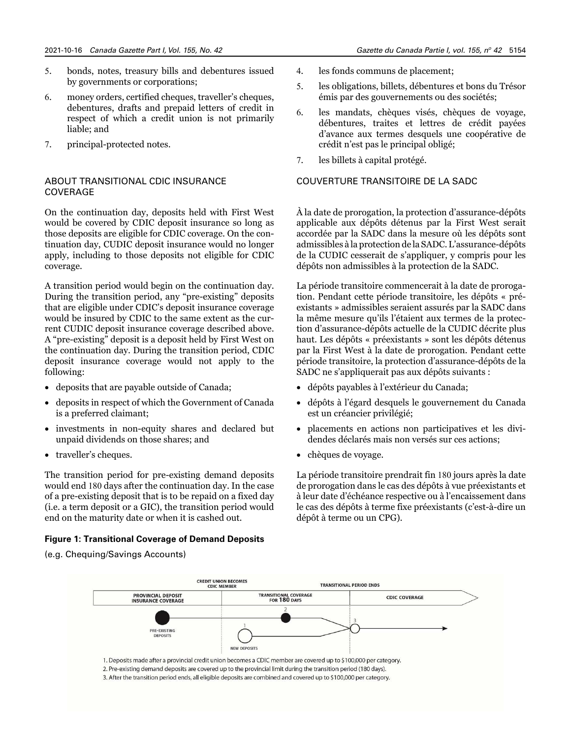- 5. bonds, notes, treasury bills and debentures issued by governments or corporations;
- 6. money orders, certified cheques, traveller's cheques, debentures, drafts and prepaid letters of credit in respect of which a credit union is not primarily liable; and
- 7. principal-protected notes.

# ABOUT TRANSITIONAL CDIC INSURANCE COVERAGE

On the continuation day, deposits held with First West would be covered by CDIC deposit insurance so long as those deposits are eligible for CDIC coverage. On the continuation day, CUDIC deposit insurance would no longer apply, including to those deposits not eligible for CDIC coverage.

A transition period would begin on the continuation day. During the transition period, any "pre-existing" deposits that are eligible under CDIC's deposit insurance coverage would be insured by CDIC to the same extent as the current CUDIC deposit insurance coverage described above. A "pre-existing" deposit is a deposit held by First West on the continuation day. During the transition period, CDIC deposit insurance coverage would not apply to the following:

- deposits that are payable outside of Canada;
- deposits in respect of which the Government of Canada is a preferred claimant;
- investments in non-equity shares and declared but unpaid dividends on those shares; and
- traveller's cheques.

The transition period for pre-existing demand deposits would end 180 days after the continuation day. In the case of a pre-existing deposit that is to be repaid on a fixed day (i.e. a term deposit or a GIC), the transition period would end on the maturity date or when it is cashed out.

# **Figure 1: Transitional Coverage of Demand Deposits**

(e.g. Chequing/Savings Accounts)

- 4. les fonds communs de placement;
- 5. les obligations, billets, débentures et bons du Trésor émis par des gouvernements ou des sociétés;
- 6. les mandats, chèques visés, chèques de voyage, débentures, traites et lettres de crédit payées d'avance aux termes desquels une coopérative de crédit n'est pas le principal obligé;
- 7. les billets à capital protégé.

# COUVERTURE TRANSITOIRE DE LA SADC

À la date de prorogation, la protection d'assurance-dépôts applicable aux dépôts détenus par la First West serait accordée par la SADC dans la mesure où les dépôts sont admissibles à la protection de la SADC. L'assurance-dépôts de la CUDIC cesserait de s'appliquer, y compris pour les dépôts non admissibles à la protection de la SADC.

La période transitoire commencerait à la date de prorogation. Pendant cette période transitoire, les dépôts « préexistants » admissibles seraient assurés par la SADC dans la même mesure qu'ils l'étaient aux termes de la protection d'assurance-dépôts actuelle de la CUDIC décrite plus haut. Les dépôts « préexistants » sont les dépôts détenus par la First West à la date de prorogation. Pendant cette période transitoire, la protection d'assurance-dépôts de la SADC ne s'appliquerait pas aux dépôts suivants :

- dépôts payables à l'extérieur du Canada;
- dépôts à l'égard desquels le gouvernement du Canada est un créancier privilégié;
- placements en actions non participatives et les dividendes déclarés mais non versés sur ces actions;
- chèques de voyage.

La période transitoire prendrait fin 180 jours après la date de prorogation dans le cas des dépôts à vue préexistants et à leur date d'échéance respective ou à l'encaissement dans le cas des dépôts à terme fixe préexistants (c'est-à-dire un dépôt à terme ou un CPG).

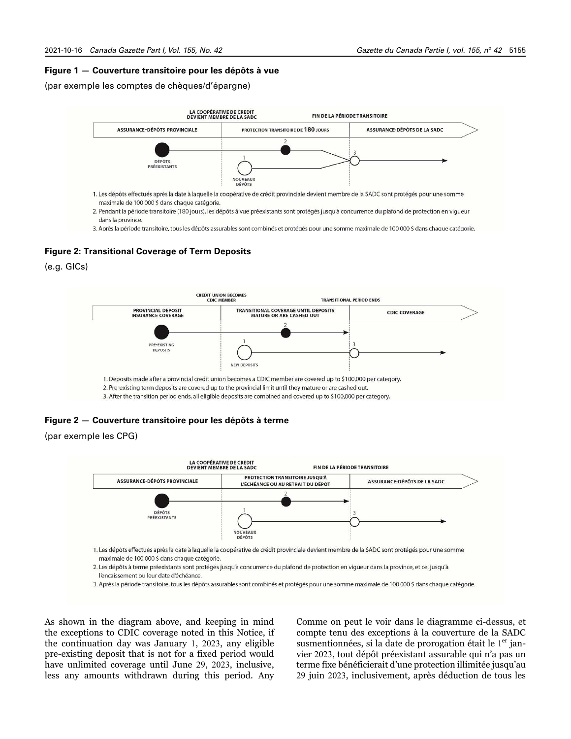#### **Figure 1 — Couverture transitoire pour les dépôts à vue**

(par exemple les comptes de chèques/d'épargne)



2. Pendant la période transitoire (180 jours), les dépôts à vue préexistants sont protégés jusqu'à concurrence du plafond de protection en vigueur dans la province.

3. Après la période transitoire, tous les dépôts assurables sont combinés et protégés pour une somme maximale de 100 000 \$ dans chaque catégorie.

#### **Figure 2: Transitional Coverage of Term Deposits**

(e.g. GICs)



#### **Figure 2 — Couverture transitoire pour les dépôts à terme**

(par exemple les CPG)



As shown in the diagram above, and keeping in mind the exceptions to CDIC coverage noted in this Notice, if the continuation day was January 1, 2023, any eligible pre-existing deposit that is not for a fixed period would have unlimited coverage until June 29, 2023, inclusive, less any amounts withdrawn during this period. Any

Comme on peut le voir dans le diagramme ci-dessus, et compte tenu des exceptions à la couverture de la SADC susmentionnées, si la date de prorogation était le  $1<sup>er</sup>$  janvier 2023, tout dépôt préexistant assurable qui n'a pas un terme fixe bénéficierait d'une protection illimitée jusqu'au 29 juin 2023, inclusivement, après déduction de tous les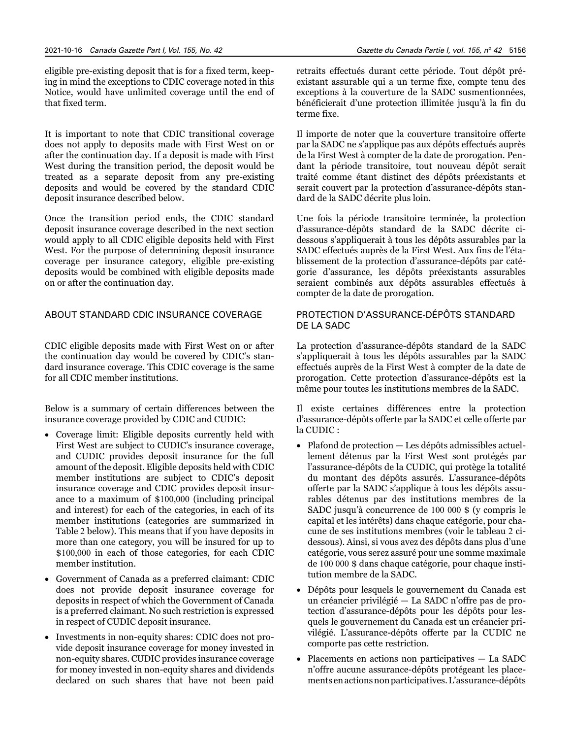eligible pre-existing deposit that is for a fixed term, keeping in mind the exceptions to CDIC coverage noted in this Notice, would have unlimited coverage until the end of that fixed term.

It is important to note that CDIC transitional coverage does not apply to deposits made with First West on or after the continuation day. If a deposit is made with First West during the transition period, the deposit would be treated as a separate deposit from any pre-existing deposits and would be covered by the standard CDIC deposit insurance described below.

Once the transition period ends, the CDIC standard deposit insurance coverage described in the next section would apply to all CDIC eligible deposits held with First West. For the purpose of determining deposit insurance coverage per insurance category, eligible pre-existing deposits would be combined with eligible deposits made on or after the continuation day.

# ABOUT STANDARD CDIC INSURANCE COVERAGE

CDIC eligible deposits made with First West on or after the continuation day would be covered by CDIC's standard insurance coverage. This CDIC coverage is the same for all CDIC member institutions.

Below is a summary of certain differences between the insurance coverage provided by CDIC and CUDIC:

- Coverage limit: Eligible deposits currently held with First West are subject to CUDIC's insurance coverage, and CUDIC provides deposit insurance for the full amount of the deposit. Eligible deposits held with CDIC member institutions are subject to CDIC's deposit insurance coverage and CDIC provides deposit insurance to a maximum of \$100,000 (including principal and interest) for each of the categories, in each of its member institutions (categories are summarized in Table 2 below). This means that if you have deposits in more than one category, you will be insured for up to \$100,000 in each of those categories, for each CDIC member institution.
- Government of Canada as a preferred claimant: CDIC does not provide deposit insurance coverage for deposits in respect of which the Government of Canada is a preferred claimant. No such restriction is expressed in respect of CUDIC deposit insurance.
- Investments in non-equity shares: CDIC does not provide deposit insurance coverage for money invested in non-equity shares. CUDIC provides insurance coverage for money invested in non-equity shares and dividends declared on such shares that have not been paid

retraits effectués durant cette période. Tout dépôt préexistant assurable qui a un terme fixe, compte tenu des exceptions à la couverture de la SADC susmentionnées, bénéficierait d'une protection illimitée jusqu'à la fin du terme fixe.

Il importe de noter que la couverture transitoire offerte par la SADC ne s'applique pas aux dépôts effectués auprès de la First West à compter de la date de prorogation. Pendant la période transitoire, tout nouveau dépôt serait traité comme étant distinct des dépôts préexistants et serait couvert par la protection d'assurance-dépôts standard de la SADC décrite plus loin.

Une fois la période transitoire terminée, la protection d'assurance-dépôts standard de la SADC décrite cidessous s'appliquerait à tous les dépôts assurables par la SADC effectués auprès de la First West. Aux fins de l'établissement de la protection d'assurance-dépôts par catégorie d'assurance, les dépôts préexistants assurables seraient combinés aux dépôts assurables effectués à compter de la date de prorogation.

# PROTECTION D'ASSURANCE-DÉPÔTS STANDARD DE LA SADC

La protection d'assurance-dépôts standard de la SADC s'appliquerait à tous les dépôts assurables par la SADC effectués auprès de la First West à compter de la date de prorogation. Cette protection d'assurance-dépôts est la même pour toutes les institutions membres de la SADC.

Il existe certaines différences entre la protection d'assurance-dépôts offerte par la SADC et celle offerte par la CUDIC :

- Plafond de protection Les dépôts admissibles actuellement détenus par la First West sont protégés par l'assurance-dépôts de la CUDIC, qui protège la totalité du montant des dépôts assurés. L'assurance-dépôts offerte par la SADC s'applique à tous les dépôts assurables détenus par des institutions membres de la SADC jusqu'à concurrence de 100 000 \$ (y compris le capital et les intérêts) dans chaque catégorie, pour chacune de ses institutions membres (voir le tableau 2 cidessous). Ainsi, si vous avez des dépôts dans plus d'une catégorie, vous serez assuré pour une somme maximale de 100 000 \$ dans chaque catégorie, pour chaque institution membre de la SADC.
- Dépôts pour lesquels le gouvernement du Canada est un créancier privilégié — La SADC n'offre pas de protection d'assurance-dépôts pour les dépôts pour lesquels le gouvernement du Canada est un créancier privilégié. L'assurance-dépôts offerte par la CUDIC ne comporte pas cette restriction.
- Placements en actions non participatives La SADC n'offre aucune assurance-dépôts protégeant les placements en actions non participatives. L'assurance-dépôts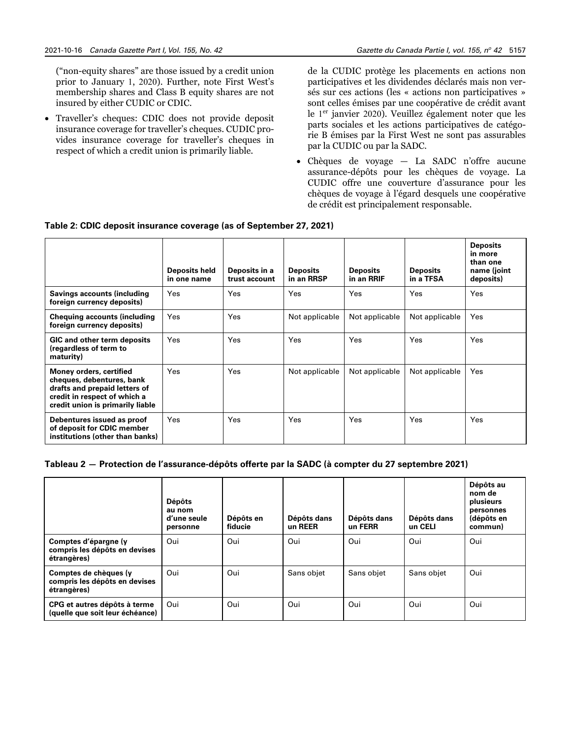("non-equity shares" are those issued by a credit union prior to January 1, 2020). Further, note First West's membership shares and Class B equity shares are not insured by either CUDIC or CDIC.

• Traveller's cheques: CDIC does not provide deposit insurance coverage for traveller's cheques. CUDIC provides insurance coverage for traveller's cheques in respect of which a credit union is primarily liable.

de la CUDIC protège les placements en actions non participatives et les dividendes déclarés mais non versés sur ces actions (les « actions non participatives » sont celles émises par une coopérative de crédit avant le 1er janvier 2020). Veuillez également noter que les parts sociales et les actions participatives de catégorie B émises par la First West ne sont pas assurables par la CUDIC ou par la SADC.

• Chèques de voyage — La SADC n'offre aucune assurance-dépôts pour les chèques de voyage. La CUDIC offre une couverture d'assurance pour les chèques de voyage à l'égard desquels une coopérative de crédit est principalement responsable.

| Table 2: CDIC deposit insurance coverage (as of September 27, 2021) |  |  |  |  |  |
|---------------------------------------------------------------------|--|--|--|--|--|
|                                                                     |  |  |  |  |  |

|                                                                                                                                                           | Deposits held<br>in one name | Deposits in a<br>trust account | <b>Deposits</b><br>in an RRSP | <b>Deposits</b><br>in an RRIF | <b>Deposits</b><br>in a TFSA | <b>Deposits</b><br>in more<br>than one<br>name (joint<br>deposits) |
|-----------------------------------------------------------------------------------------------------------------------------------------------------------|------------------------------|--------------------------------|-------------------------------|-------------------------------|------------------------------|--------------------------------------------------------------------|
| <b>Savings accounts (including</b><br>foreign currency deposits)                                                                                          | Yes                          | Yes                            | Yes                           | Yes                           | Yes                          | Yes                                                                |
| <b>Chequing accounts (including</b><br>foreign currency deposits)                                                                                         | Yes                          | Yes                            | Not applicable                | Not applicable                | Not applicable               | Yes                                                                |
| <b>GIC and other term deposits</b><br>(regardless of term to<br>maturity)                                                                                 | Yes                          | Yes                            | Yes                           | Yes                           | Yes                          | Yes                                                                |
| Money orders, certified<br>cheques, debentures, bank<br>drafts and prepaid letters of<br>credit in respect of which a<br>credit union is primarily liable | Yes                          | Yes                            | Not applicable                | Not applicable                | Not applicable               | Yes                                                                |
| Debentures issued as proof<br>of deposit for CDIC member<br>institutions (other than banks)                                                               | Yes                          | Yes                            | Yes                           | Yes                           | Yes                          | Yes                                                                |

# **Tableau 2 — Protection de l'assurance-dépôts offerte par la SADC (à compter du 27 septembre 2021)**

|                                                                       | <b>Dépôts</b><br>au nom<br>d'une seule<br>personne | Dépôts en<br>fiducie | Dépôts dans<br>un REER | Dépôts dans<br>un FERR | Dépôts dans<br>un CELI | Dépôts au<br>nom de<br>plusieurs<br>personnes<br>(dépôts en<br>commun) |
|-----------------------------------------------------------------------|----------------------------------------------------|----------------------|------------------------|------------------------|------------------------|------------------------------------------------------------------------|
| Comptes d'épargne (y<br>compris les dépôts en devises<br>étrangères)  | Oui                                                | Oui                  | Oui                    | Oui                    | Oui                    | Oui                                                                    |
| Comptes de chèques (y<br>compris les dépôts en devises<br>étrangères) | Oui                                                | Oui                  | Sans objet             | Sans objet             | Sans obiet             | Oui                                                                    |
| CPG et autres dépôts à terme<br>(quelle que soit leur échéance)       | Oui                                                | Oui                  | Oui                    | Oui                    | Oui                    | Oui                                                                    |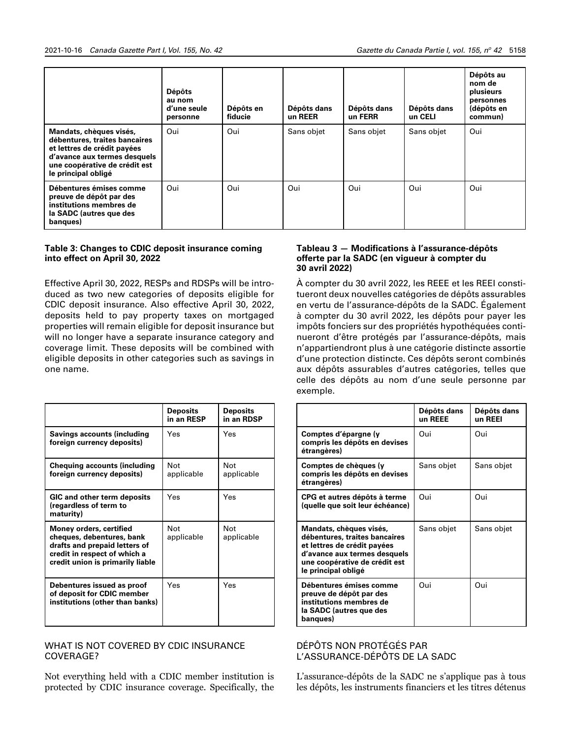|                                                                                                                                                                                 | <b>Dépôts</b><br>au nom<br>d'une seule<br>personne | Dépôts en<br>fiducie | Dépôts dans<br>un REER | Dépôts dans<br>un FERR | Dépôts dans<br>un CELI | Dépôts au<br>nom de<br>plusieurs<br>personnes<br>(dépôts en<br>commun) |
|---------------------------------------------------------------------------------------------------------------------------------------------------------------------------------|----------------------------------------------------|----------------------|------------------------|------------------------|------------------------|------------------------------------------------------------------------|
| Mandats, chèques visés,<br>débentures, traites bancaires<br>et lettres de crédit payées<br>d'avance aux termes desquels<br>une coopérative de crédit est<br>le principal obligé | Oui                                                | Oui                  | Sans objet             | Sans objet             | Sans objet             | Oui                                                                    |
| Débentures émises comme<br>preuve de dépôt par des<br>institutions membres de<br>la SADC (autres que des<br>banques)                                                            | Oui                                                | Oui                  | Oui                    | Oui                    | Oui                    | Oui                                                                    |

# **Table 3: Changes to CDIC deposit insurance coming into effect on April 30, 2022**

Effective April 30, 2022, RESPs and RDSPs will be introduced as two new categories of deposits eligible for CDIC deposit insurance. Also effective April 30, 2022, deposits held to pay property taxes on mortgaged properties will remain eligible for deposit insurance but will no longer have a separate insurance category and coverage limit. These deposits will be combined with eligible deposits in other categories such as savings in one name.

|                                                                                                                                                                  | <b>Deposits</b><br>in an RESP | <b>Deposits</b><br>in an RDSP |
|------------------------------------------------------------------------------------------------------------------------------------------------------------------|-------------------------------|-------------------------------|
| <b>Savings accounts (including</b><br>foreign currency deposits)                                                                                                 | Yes                           | Yes                           |
| <b>Chequing accounts (including</b><br>foreign currency deposits)                                                                                                | Not<br>applicable             | Not<br>applicable             |
| GIC and other term deposits<br>(regardless of term to<br>maturity)                                                                                               | Yes                           | Yes                           |
| <b>Money orders, certified</b><br>cheques, debentures, bank<br>drafts and prepaid letters of<br>credit in respect of which a<br>credit union is primarily liable | Not<br>applicable             | Not<br>applicable             |
| Debentures issued as proof<br>of deposit for CDIC member<br>institutions (other than banks)                                                                      | Yes                           | Yes                           |

# WHAT IS NOT COVERED BY CDIC INSURANCE COVERAGE?

Not everything held with a CDIC member institution is protected by CDIC insurance coverage. Specifically, the

# **Tableau 3 — Modifications à l'assurance-dépôts offerte par la SADC (en vigueur à compter du 30 avril 2022)**

À compter du 30 avril 2022, les REEE et les REEI constitueront deux nouvelles catégories de dépôts assurables en vertu de l'assurance-dépôts de la SADC. Également à compter du 30 avril 2022, les dépôts pour payer les impôts fonciers sur des propriétés hypothéquées continueront d'être protégés par l'assurance-dépôts, mais n'appartiendront plus à une catégorie distincte assortie d'une protection distincte. Ces dépôts seront combinés aux dépôts assurables d'autres catégories, telles que celle des dépôts au nom d'une seule personne par exemple.

|                                                                                                                                                                                 | Dépôts dans<br>un REEE | Dépôts dans<br>un REEI |
|---------------------------------------------------------------------------------------------------------------------------------------------------------------------------------|------------------------|------------------------|
| Comptes d'épargne (y<br>compris les dépôts en devises<br>étrangères)                                                                                                            | Oui                    | Oui                    |
| Comptes de chèques (y<br>compris les dépôts en devises<br>étrangères)                                                                                                           | Sans objet             | Sans objet             |
| CPG et autres dépôts à terme<br>(quelle que soit leur échéance)                                                                                                                 | Oui                    | Oui                    |
| Mandats, chèques visés,<br>débentures, traites bancaires<br>et lettres de crédit payées<br>d'avance aux termes desquels<br>une coopérative de crédit est<br>le principal obligé | Sans objet             | Sans objet             |
| Débentures émises comme<br>preuve de dépôt par des<br>institutions membres de<br>la SADC (autres que des<br>banques)                                                            | Oui                    | Oui                    |

# DÉPÔTS NON PROTÉGÉS PAR L'ASSURANCE-DÉPÔTS DE LA SADC

L'assurance-dépôts de la SADC ne s'applique pas à tous les dépôts, les instruments financiers et les titres détenus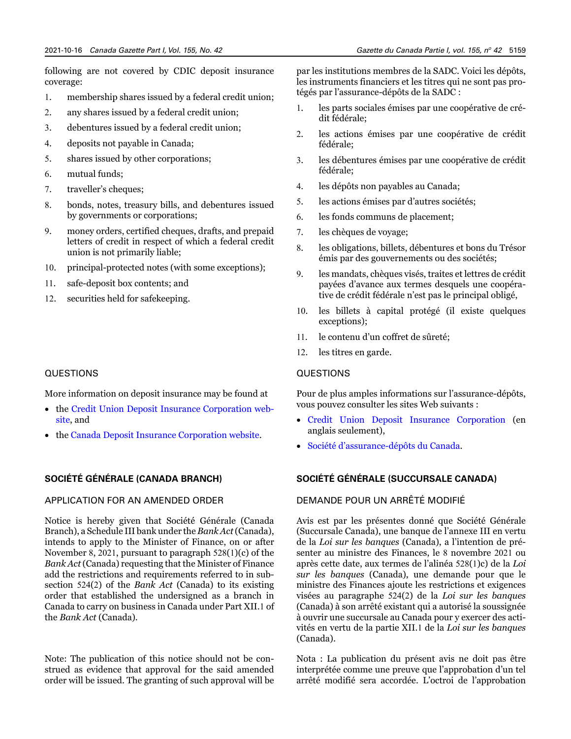following are not covered by CDIC deposit insurance coverage:

- 1. membership shares issued by a federal credit union;
- 2. any shares issued by a federal credit union;
- 3. debentures issued by a federal credit union;
- 4. deposits not payable in Canada;
- 5. shares issued by other corporations;
- 6. mutual funds;
- 7. traveller's cheques;
- 8. bonds, notes, treasury bills, and debentures issued by governments or corporations;
- 9. money orders, certified cheques, drafts, and prepaid letters of credit in respect of which a federal credit union is not primarily liable;
- 10. principal-protected notes (with some exceptions);
- 11. safe-deposit box contents; and
- 12. securities held for safekeeping.

#### QUESTIONS

More information on deposit insurance may be found at

- the [Credit Union Deposit Insurance Corporation web](http://www.cudicbc.ca)[site](http://www.cudicbc.ca), and
- the [Canada Deposit Insurance Corporation website](http://www.cdic.ca).

# **SOCIÉTÉ GÉNÉRALE (CANADA BRANCH)**

# APPLICATION FOR AN AMENDED ORDER

Notice is hereby given that Société Générale (Canada Branch), a Schedule III bank under the *Bank Act* (Canada), intends to apply to the Minister of Finance, on or after November 8, 2021, pursuant to paragraph 528(1)(c) of the *Bank Act* (Canada) requesting that the Minister of Finance add the restrictions and requirements referred to in subsection 524(2) of the *Bank Act* (Canada) to its existing order that established the undersigned as a branch in Canada to carry on business in Canada under Part XII.1 of the *Bank Act* (Canada).

Note: The publication of this notice should not be construed as evidence that approval for the said amended order will be issued. The granting of such approval will be par les institutions membres de la SADC. Voici les dépôts, les instruments financiers et les titres qui ne sont pas protégés par l'assurance-dépôts de la SADC :

- 1. les parts sociales émises par une coopérative de crédit fédérale;
- 2. les actions émises par une coopérative de crédit fédérale;
- 3. les débentures émises par une coopérative de crédit fédérale;
- 4. les dépôts non payables au Canada;
- 5. les actions émises par d'autres sociétés;
- 6. les fonds communs de placement;
- 7. les chèques de voyage;
- 8. les obligations, billets, débentures et bons du Trésor émis par des gouvernements ou des sociétés;
- 9. les mandats, chèques visés, traites et lettres de crédit payées d'avance aux termes desquels une coopérative de crédit fédérale n'est pas le principal obligé,
- 10. les billets à capital protégé (il existe quelques exceptions);
- 11. le contenu d'un coffret de sûreté;
- 12. les titres en garde.

# QUESTIONS

Pour de plus amples informations sur l'assurance-dépôts, vous pouvez consulter les sites Web suivants :

- [Credit Union Deposit Insurance Corporation](http://www.cudicbc.ca) (en anglais seulement),
- [Société d'assurance-dépôts du Canada.](http://www.sadc.ca)

# **SOCIÉTÉ GÉNÉRALE (SUCCURSALE CANADA)**

# DEMANDE POUR UN ARRÊTÉ MODIFIÉ

Avis est par les présentes donné que Société Générale (Succursale Canada), une banque de l'annexe III en vertu de la *Loi sur les banques* (Canada), a l'intention de présenter au ministre des Finances, le 8 novembre 2021 ou après cette date, aux termes de l'alinéa 528(1)c) de la *Loi sur les banques* (Canada), une demande pour que le ministre des Finances ajoute les restrictions et exigences visées au paragraphe 524(2) de la *Loi sur les banques* (Canada) à son arrêté existant qui a autorisé la soussignée à ouvrir une succursale au Canada pour y exercer des activités en vertu de la partie XII.1 de la *Loi sur les banques* (Canada).

Nota : La publication du présent avis ne doit pas être interprétée comme une preuve que l'approbation d'un tel arrêté modifié sera accordée. L'octroi de l'approbation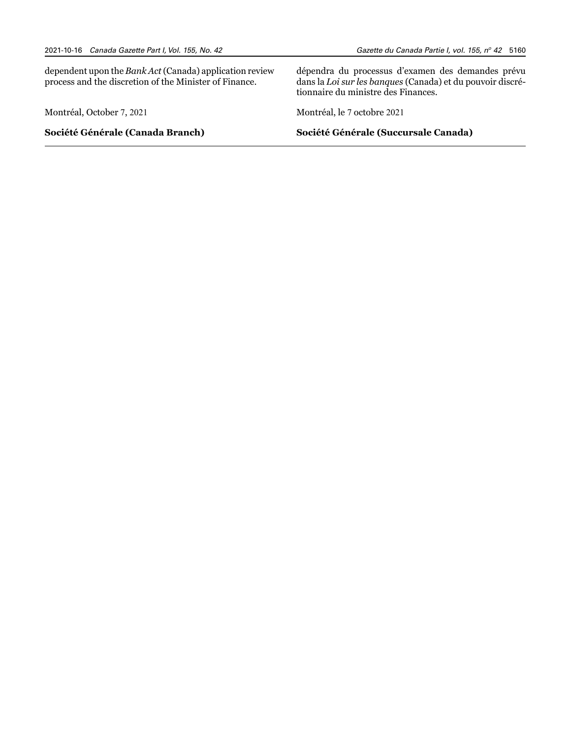dependent upon the *Bank Act* (Canada) application review process and the discretion of the Minister of Finance.

Montréal, October 7, 2021

**Société Générale (Canada Branch)**

Gazette du Canada Partie I, vol. 155, nº 42 5160

dépendra du processus d'examen des demandes prévu dans la *Loi sur les banques* (Canada) et du pouvoir discrétionnaire du ministre des Finances.

Montréal, le 7 octobre 2021

**Société Générale (Succursale Canada)**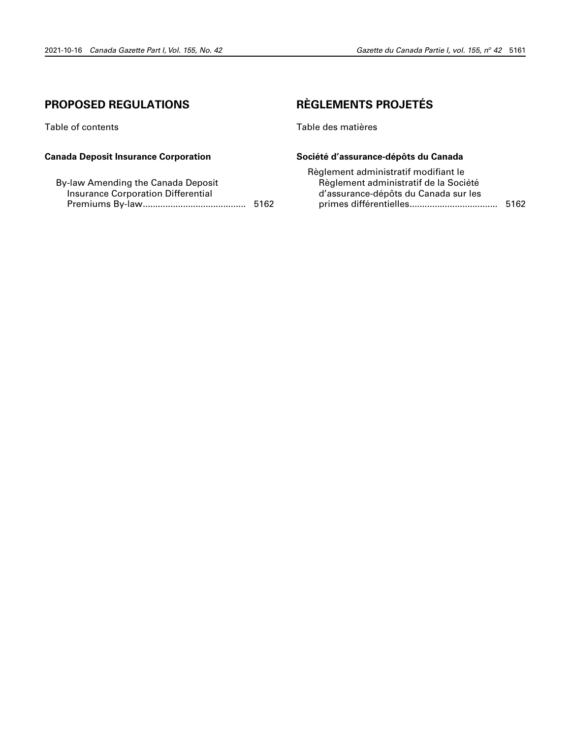# <span id="page-36-0"></span>**PROPOSED REGULATIONS**

Table of contents

# **Canada Deposit Insurance Corporation**

| By-law Amending the Canada Deposit |      |
|------------------------------------|------|
| Insurance Corporation Differential |      |
|                                    | 5162 |

# **RÈGLEMENTS PROJETÉS**

Table des matières

# **Société d'assurance-dépôts du Canada**

| Règlement administratif modifiant le  |      |
|---------------------------------------|------|
| Règlement administratif de la Société |      |
| d'assurance-dépôts du Canada sur les  |      |
|                                       | 5162 |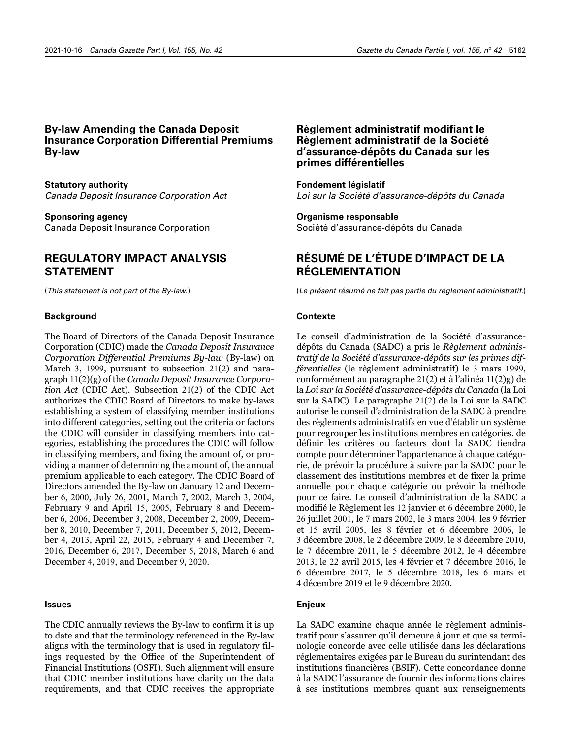# **By-law Amending the Canada Deposit Insurance Corporation Differential Premiums By-law**

**Statutory authority** *Canada Deposit Insurance Corporation Act*

**Sponsoring agency** Canada Deposit Insurance Corporation

# **REGULATORY IMPACT ANALYSIS STATEMENT**

(*This statement is not part of the By-law*.)

#### **Background**

The Board of Directors of the Canada Deposit Insurance Corporation (CDIC) made the *Canada Deposit Insurance Corporation Differential Premiums By-law* (By-law) on March 3, 1999, pursuant to subsection 21(2) and paragraph 11(2)(g) of the *Canada Deposit Insurance Corporation Act* (CDIC Act)*.* Subsection 21(2) of the CDIC Act authorizes the CDIC Board of Directors to make by-laws establishing a system of classifying member institutions into different categories, setting out the criteria or factors the CDIC will consider in classifying members into categories, establishing the procedures the CDIC will follow in classifying members, and fixing the amount of, or providing a manner of determining the amount of, the annual premium applicable to each category. The CDIC Board of Directors amended the By-law on January 12 and December 6, 2000, July 26, 2001, March 7, 2002, March 3, 2004, February 9 and April 15, 2005, February 8 and December 6, 2006, December 3, 2008, December 2, 2009, December 8, 2010, December 7, 2011, December 5, 2012, December 4, 2013, April 22, 2015, February 4 and December 7, 2016, December 6, 2017, December 5, 2018, March 6 and December 4, 2019, and December 9, 2020.

#### **Issues**

The CDIC annually reviews the By-law to confirm it is up to date and that the terminology referenced in the By-law aligns with the terminology that is used in regulatory filings requested by the Office of the Superintendent of Financial Institutions (OSFI). Such alignment will ensure that CDIC member institutions have clarity on the data requirements, and that CDIC receives the appropriate

# **Règlement administratif modifiant le Règlement administratif de la Société d'assurance-dépôts du Canada sur les primes différentielles**

#### **Fondement législatif**

*Loi sur la Société d'assurance-dépôts du Canada*

# **Organisme responsable**

Société d'assurance-dépôts du Canada

# **RÉSUMÉ DE L'ÉTUDE D'IMPACT DE LA RÉGLEMENTATION**

(*Le présent résumé ne fait pas partie du règlement administratif*.)

#### **Contexte**

Le conseil d'administration de la Société d'assurancedépôts du Canada (SADC) a pris le *Règlement administratif de la Société d'assurance-dépôts sur les primes différentielles* (le règlement administratif) le 3 mars 1999, conformément au paragraphe 21(2) et à l'alinéa 11(2)g) de la *Loi sur la Société d'assurance-dépôts du Canada* (la Loi sur la SADC). Le paragraphe 21(2) de la Loi sur la SADC autorise le conseil d'administration de la SADC à prendre des règlements administratifs en vue d'établir un système pour regrouper les institutions membres en catégories, de définir les critères ou facteurs dont la SADC tiendra compte pour déterminer l'appartenance à chaque catégorie, de prévoir la procédure à suivre par la SADC pour le classement des institutions membres et de fixer la prime annuelle pour chaque catégorie ou prévoir la méthode pour ce faire. Le conseil d'administration de la SADC a modifié le Règlement les 12 janvier et 6 décembre 2000, le 26 juillet 2001, le 7 mars 2002, le 3 mars 2004, les 9 février et 15 avril 2005, les 8 février et 6 décembre 2006, le 3 décembre 2008, le 2 décembre 2009, le 8 décembre 2010, le 7 décembre 2011, le 5 décembre 2012, le 4 décembre 2013, le 22 avril 2015, les 4 février et 7 décembre 2016, le 6 décembre 2017, le 5 décembre 2018, les 6 mars et 4 décembre 2019 et le 9 décembre 2020.

# **Enjeux**

La SADC examine chaque année le règlement administratif pour s'assurer qu'il demeure à jour et que sa terminologie concorde avec celle utilisée dans les déclarations réglementaires exigées par le Bureau du surintendant des institutions financières (BSIF). Cette concordance donne à la SADC l'assurance de fournir des informations claires à ses institutions membres quant aux renseignements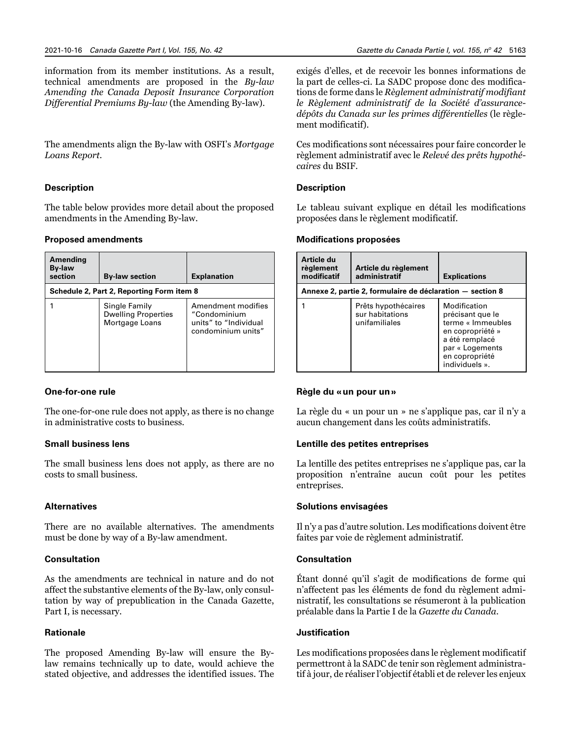information from its member institutions. As a result, technical amendments are proposed in the *By-law Amending the Canada Deposit Insurance Corporation Differential Premiums By-law* (the Amending By-law).

The amendments align the By-law with OSFI's *Mortgage Loans Report*.

# **Description**

The table below provides more detail about the proposed amendments in the Amending By-law.

# **Proposed amendments**

| Amending<br><b>By-law</b><br>section      | <b>By-law section</b>                                         | <b>Explanation</b>                                                                |  |
|-------------------------------------------|---------------------------------------------------------------|-----------------------------------------------------------------------------------|--|
| Schedule 2, Part 2, Reporting Form item 8 |                                                               |                                                                                   |  |
|                                           | Single Family<br><b>Dwelling Properties</b><br>Mortgage Loans | Amendment modifies<br>"Condominium<br>units" to "Individual<br>condominium units" |  |

# **One-for-one rule**

The one-for-one rule does not apply, as there is no change in administrative costs to business.

# **Small business lens**

The small business lens does not apply, as there are no costs to small business.

# **Alternatives**

There are no available alternatives. The amendments must be done by way of a By-law amendment.

# **Consultation**

As the amendments are technical in nature and do not affect the substantive elements of the By-law, only consultation by way of prepublication in the Canada Gazette, Part I, is necessary.

# **Rationale**

The proposed Amending By-law will ensure the Bylaw remains technically up to date, would achieve the stated objective, and addresses the identified issues. The

exigés d'elles, et de recevoir les bonnes informations de la part de celles-ci. La SADC propose donc des modifications de forme dans le *Règlement administratif modifiant le Règlement administratif de la Société d'assurancedépôts du Canada sur les primes différentielles* (le règlement modificatif).

Ces modifications sont nécessaires pour faire concorder le règlement administratif avec le *Relevé des prêts hypothécaires* du BSIF.

# **Description**

Le tableau suivant explique en détail les modifications proposées dans le règlement modificatif.

#### **Modifications proposées**

| Article du<br>règlement<br>modificatif                    | Article du règlement<br>administratif                   | <b>Explications</b>                                                                                                                                |  |
|-----------------------------------------------------------|---------------------------------------------------------|----------------------------------------------------------------------------------------------------------------------------------------------------|--|
| Annexe 2, partie 2, formulaire de déclaration – section 8 |                                                         |                                                                                                                                                    |  |
|                                                           | Prêts hypothécaires<br>sur habitations<br>unifamiliales | Modification<br>précisant que le<br>terme « Immeubles<br>en copropriété »<br>a été remplacé<br>par « Logements<br>en copropriété<br>individuels ». |  |

#### **Règle du «un pour un»**

La règle du « un pour un » ne s'applique pas, car il n'y a aucun changement dans les coûts administratifs.

# **Lentille des petites entreprises**

La lentille des petites entreprises ne s'applique pas, car la proposition n'entraîne aucun coût pour les petites entreprises.

# **Solutions envisagées**

Il n'y a pas d'autre solution. Les modifications doivent être faites par voie de règlement administratif.

#### **Consultation**

Étant donné qu'il s'agit de modifications de forme qui n'affectent pas les éléments de fond du règlement administratif, les consultations se résumeront à la publication préalable dans la Partie I de la *Gazette du Canada*.

#### **Justification**

Les modifications proposées dans le règlement modificatif permettront à la SADC de tenir son règlement administratif à jour, de réaliser l'objectif établi et de relever les enjeux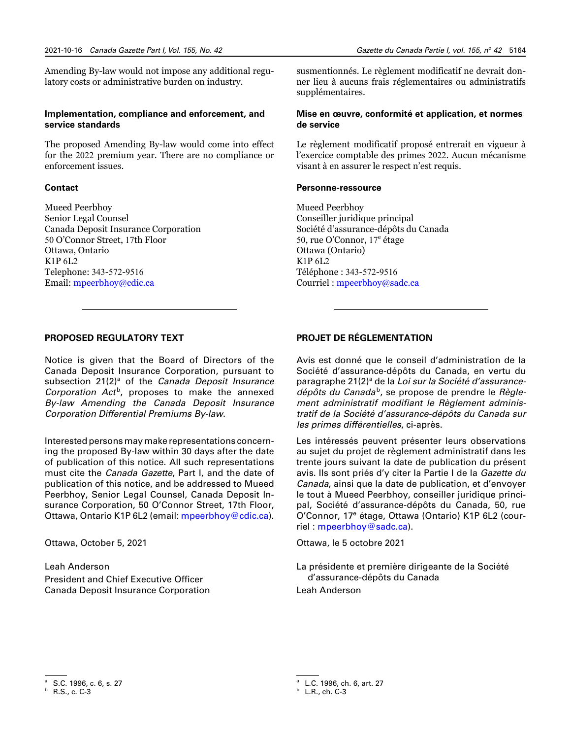Amending By-law would not impose any additional regulatory costs or administrative burden on industry.

# **Implementation, compliance and enforcement, and service standards**

The proposed Amending By-law would come into effect for the 2022 premium year. There are no compliance or enforcement issues.

#### **Contact**

Mueed Peerbhoy Senior Legal Counsel Canada Deposit Insurance Corporation 50 O'Connor Street, 17th Floor Ottawa, Ontario K1P 6L2 Telephone: 343-572-9516 Email: [mpeerbhoy@cdic.ca](mailto:mpeerbhoy%40cdic.ca?subject=)

susmentionnés. Le règlement modificatif ne devrait donner lieu à aucuns frais réglementaires ou administratifs supplémentaires.

# **Mise en œuvre, conformité et application, et normes de service**

Le règlement modificatif proposé entrerait en vigueur à l'exercice comptable des primes 2022. Aucun mécanisme visant à en assurer le respect n'est requis.

#### **Personne-ressource**

Mueed Peerbhoy Conseiller juridique principal Société d'assurance-dépôts du Canada 50, rue O'Connor, 17<sup>e</sup> étage Ottawa (Ontario) K1P 6L2 Téléphone : 343-572-9516 Courriel : [mpeerbhoy@sadc.ca](mailto:mpeerbhoy%40sadc.ca?subject=)

# **PROPOSED REGULATORY TEXT**

Notice is given that the Board of Directors of the Canada Deposit Insurance Corporation, pursuant to subsection 21(2)<sup>a</sup> of the *Canada Deposit Insurance* Corporation Act<sup>b</sup>, proposes to make the annexed *By-law Amending the Canada Deposit Insurance Corporation Differential Premiums By-law*.

Interested persons may make representations concerning the proposed By-law within 30 days after the date of publication of this notice. All such representations must cite the *Canada Gazette*, Part I, and the date of publication of this notice, and be addressed to Mueed Peerbhoy, Senior Legal Counsel, Canada Deposit Insurance Corporation, 50 O'Connor Street, 17th Floor, Ottawa, Ontario K1P 6L2 (email: [mpeerbhoy@cdic.ca](mailto:mpeerbhoy%40cdic.ca?subject=)).

Ottawa, October 5, 2021

Leah Anderson President and Chief Executive Officer Canada Deposit Insurance Corporation

# **PROJET DE RÉGLEMENTATION**

Avis est donné que le conseil d'administration de la Société d'assurance-dépôts du Canada, en vertu du paragraphe 21(2)<sup>a</sup> de la *Loi sur la Société d'assurance*dépôts du Canada<sup>b</sup>, se propose de prendre le Règle*ment administratif modifiant le Règlement administratif de la Société d'assurance-dépôts du Canada sur les primes différentielles*, ci-après.

Les intéressés peuvent présenter leurs observations au sujet du projet de règlement administratif dans les trente jours suivant la date de publication du présent avis. Ils sont priés d'y citer la Partie I de la *Gazette du Canada*, ainsi que la date de publication, et d'envoyer le tout à Mueed Peerbhoy, conseiller juridique principal, Société d'assurance-dépôts du Canada, 50, rue O'Connor, 17<sup>e</sup> étage, Ottawa (Ontario) K1P 6L2 (courriel : [mpeerbhoy@sadc.ca](mailto:mpeerbhoy%40sadc.ca?subject=)).

Ottawa, le 5 octobre 2021

La présidente et première dirigeante de la Société d'assurance-dépôts du Canada Leah Anderson

S.C. 1996, c. 6, s. 27

<sup>b</sup> R.S., c. C-3

<sup>a</sup> L.C. 1996, ch. 6, art. 27

<sup>b</sup> L.R., ch. C-3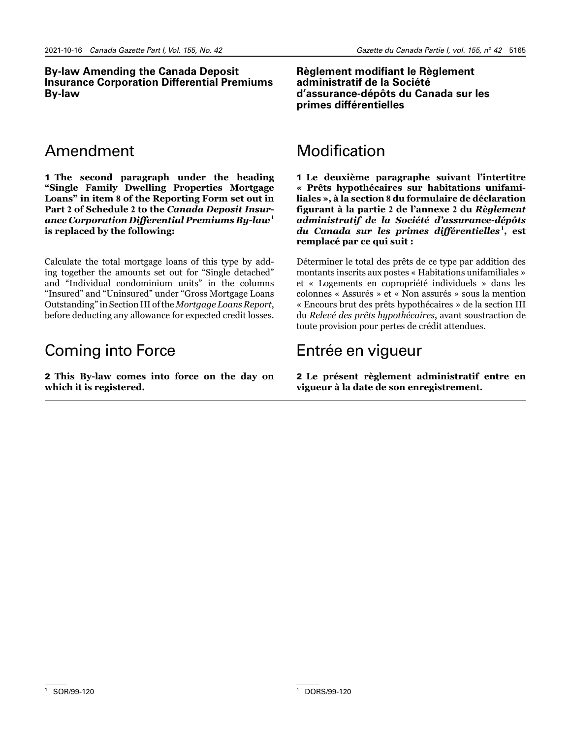# **By-law Amending the Canada Deposit Insurance Corporation Differential Premiums By-law**

# **Règlement modifiant le Règlement administratif de la Société d'assurance-dépôts du Canada sur les primes différentielles**

# Amendment

1 **The second paragraph under the heading "Single Family Dwelling Properties Mortgage Loans" in item 8 of the Reporting Form set out in Part 2 of Schedule 2 to the** *Canada Deposit Insurance Corporation Differential Premiums By-law*1**<sup>1</sup> is replaced by the following:**

Calculate the total mortgage loans of this type by adding together the amounts set out for "Single detached" and "Individual condominium units" in the columns "Insured" and "Uninsured" under "Gross Mortgage Loans Outstanding" in Section III of the *Mortgage Loans Report*, before deducting any allowance for expected credit losses.

# Coming into Force

2 **This By-law comes into force on the day on which it is registered.**

# Modification

1 **Le deuxième paragraphe suivant l'intertitre « Prêts hypothécaires sur habitations unifamiliales », à la section 8 du formulaire de déclaration figurant à la partie 2 de l'annexe 2 du** *Règlement administratif de la Société d'assurance-dépôts du Canada sur les primes différentielles*1**<sup>1</sup> , est remplacé par ce qui suit :**

Déterminer le total des prêts de ce type par addition des montants inscrits aux postes « Habitations unifamiliales » et « Logements en copropriété individuels » dans les colonnes « Assurés » et « Non assurés » sous la mention « Encours brut des prêts hypothécaires » de la section III du *Relevé des prêts hypothécaires*, avant soustraction de toute provision pour pertes de crédit attendues.

# Entrée en vigueur

2 **Le présent règlement administratif entre en vigueur à la date de son enregistrement.**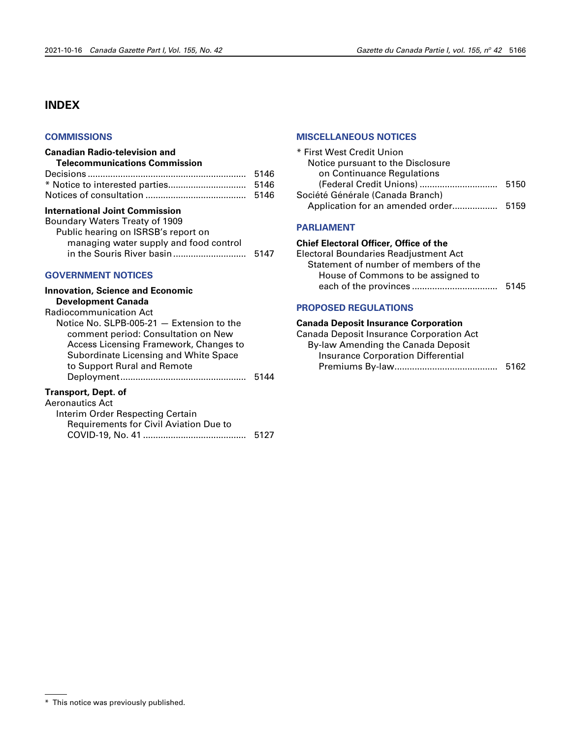# <span id="page-41-0"></span>**INDEX**

# **[COMMISSIONS](#page-21-0)**

# **Canadian Radio-television and**

| <b>Telecommunications Commission</b> |      |
|--------------------------------------|------|
|                                      | 5146 |

# **International Joint Commission**

| Boundary Waters Treaty of 1909         |      |
|----------------------------------------|------|
| Public hearing on ISRSB's report on    |      |
| managing water supply and food control |      |
|                                        | 5147 |
|                                        |      |

# **[GOVERNMENT NOTICES](#page-2-0)**

| <b>Innovation, Science and Economic</b>   |      |
|-------------------------------------------|------|
| <b>Development Canada</b>                 |      |
| Radiocommunication Act                    |      |
| Notice No. SLPB-005-21 - Extension to the |      |
| comment period: Consultation on New       |      |
| Access Licensing Framework, Changes to    |      |
| Subordinate Licensing and White Space     |      |
| to Support Rural and Remote               |      |
|                                           | 5144 |
| Trancnort Dont of                         |      |

#### **Transport, Dept. of**

| 5127 |
|------|
|      |

# **[MISCELLANEOUS NOTICES](#page-25-0)**

| * First West Credit Union             |  |
|---------------------------------------|--|
| Notice pursuant to the Disclosure     |  |
| on Continuance Regulations            |  |
|                                       |  |
| Société Générale (Canada Branch)      |  |
| Application for an amended order 5159 |  |
|                                       |  |

# **[PARLIAMENT](#page-20-0)**

# **Chief Electoral Officer, Office of the**

Electoral Boundaries Readjustment Act Statement of number of members of the House of Commons to be assigned to each of the provinces .................................. 5145

# **PROPOSED [REGULATIONS](#page-36-0)**

# **Canada Deposit Insurance Corporation**

Canada Deposit Insurance Corporation Act By-law Amending the Canada Deposit Insurance Corporation Differential Premiums By-law......................................... 5162

<sup>\*</sup> This notice was previously published.